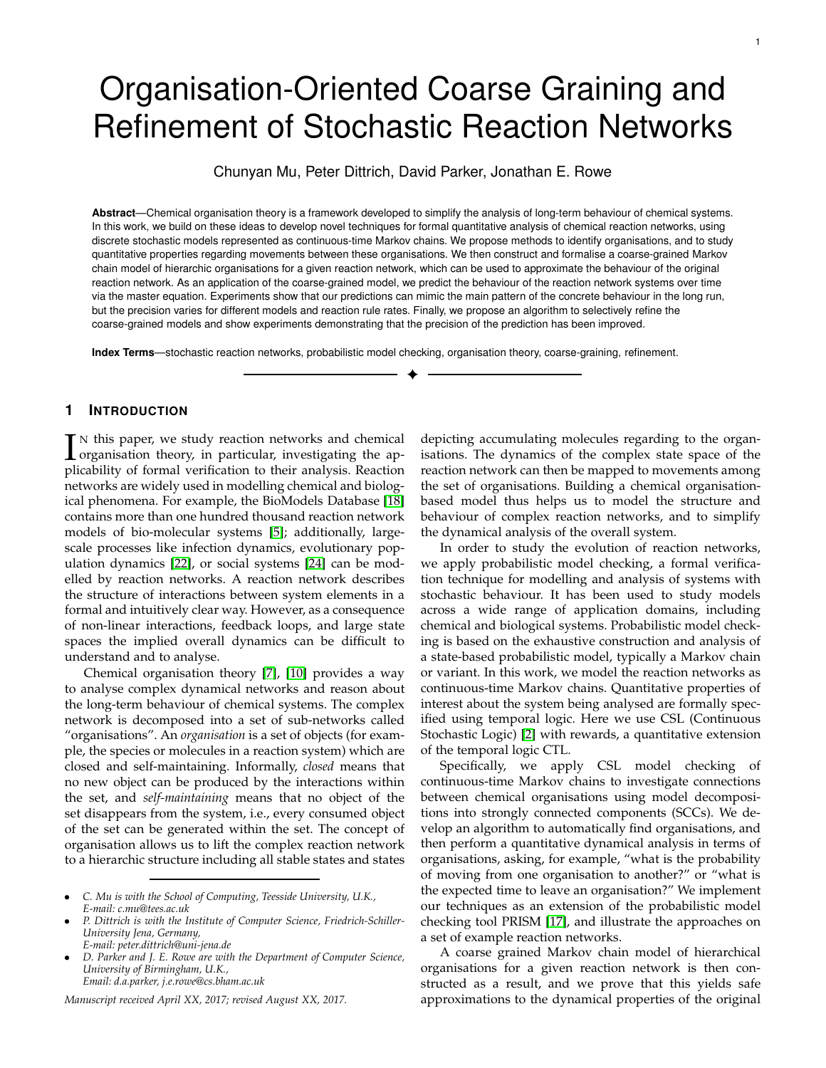# Organisation-Oriented Coarse Graining and Refinement of Stochastic Reaction Networks

Chunyan Mu, Peter Dittrich, David Parker, Jonathan E. Rowe

**Abstract**—Chemical organisation theory is a framework developed to simplify the analysis of long-term behaviour of chemical systems. In this work, we build on these ideas to develop novel techniques for formal quantitative analysis of chemical reaction networks, using discrete stochastic models represented as continuous-time Markov chains. We propose methods to identify organisations, and to study quantitative properties regarding movements between these organisations. We then construct and formalise a coarse-grained Markov chain model of hierarchic organisations for a given reaction network, which can be used to approximate the behaviour of the original reaction network. As an application of the coarse-grained model, we predict the behaviour of the reaction network systems over time via the master equation. Experiments show that our predictions can mimic the main pattern of the concrete behaviour in the long run, but the precision varies for different models and reaction rule rates. Finally, we propose an algorithm to selectively refine the coarse-grained models and show experiments demonstrating that the precision of the prediction has been improved.

✦

**Index Terms**—stochastic reaction networks, probabilistic model checking, organisation theory, coarse-graining, refinement.

# **1 INTRODUCTION**

IN this paper, we study reaction networks and chemical<br>organisation theory, in particular, investigating the ap-<br>plicability of formal verification to their apalysis. Boaction  $\mathbf{T}$  N this paper, we study reaction networks and chemical plicability of formal verification to their analysis. Reaction networks are widely used in modelling chemical and biological phenomena. For example, the BioModels Database [\[18\]](#page-13-0) contains more than one hundred thousand reaction network models of bio-molecular systems [\[5\]](#page-13-1); additionally, largescale processes like infection dynamics, evolutionary population dynamics [\[22\]](#page-13-2), or social systems [\[24\]](#page-13-3) can be modelled by reaction networks. A reaction network describes the structure of interactions between system elements in a formal and intuitively clear way. However, as a consequence of non-linear interactions, feedback loops, and large state spaces the implied overall dynamics can be difficult to understand and to analyse.

Chemical organisation theory [\[7\]](#page-13-4), [\[10\]](#page-13-5) provides a way to analyse complex dynamical networks and reason about the long-term behaviour of chemical systems. The complex network is decomposed into a set of sub-networks called "organisations". An *organisation* is a set of objects (for example, the species or molecules in a reaction system) which are closed and self-maintaining. Informally, *closed* means that no new object can be produced by the interactions within the set, and *self-maintaining* means that no object of the set disappears from the system, i.e., every consumed object of the set can be generated within the set. The concept of organisation allows us to lift the complex reaction network to a hierarchic structure including all stable states and states

*Manuscript received April XX, 2017; revised August XX, 2017.*

depicting accumulating molecules regarding to the organisations. The dynamics of the complex state space of the reaction network can then be mapped to movements among the set of organisations. Building a chemical organisationbased model thus helps us to model the structure and behaviour of complex reaction networks, and to simplify the dynamical analysis of the overall system.

In order to study the evolution of reaction networks, we apply probabilistic model checking, a formal verification technique for modelling and analysis of systems with stochastic behaviour. It has been used to study models across a wide range of application domains, including chemical and biological systems. Probabilistic model checking is based on the exhaustive construction and analysis of a state-based probabilistic model, typically a Markov chain or variant. In this work, we model the reaction networks as continuous-time Markov chains. Quantitative properties of interest about the system being analysed are formally specified using temporal logic. Here we use CSL (Continuous Stochastic Logic) [\[2\]](#page-13-6) with rewards, a quantitative extension of the temporal logic CTL.

Specifically, we apply CSL model checking of continuous-time Markov chains to investigate connections between chemical organisations using model decompositions into strongly connected components (SCCs). We develop an algorithm to automatically find organisations, and then perform a quantitative dynamical analysis in terms of organisations, asking, for example, "what is the probability of moving from one organisation to another?" or "what is the expected time to leave an organisation?" We implement our techniques as an extension of the probabilistic model checking tool PRISM [\[17\]](#page-13-7), and illustrate the approaches on a set of example reaction networks.

A coarse grained Markov chain model of hierarchical organisations for a given reaction network is then constructed as a result, and we prove that this yields safe approximations to the dynamical properties of the original

<sup>•</sup> *C. Mu is with the School of Computing, Teesside University, U.K., E-mail: c.mu@tees.ac.uk*

<sup>•</sup> *P. Dittrich is with the Institute of Computer Science, Friedrich-Schiller-University Jena, Germany, E-mail: peter.dittrich@uni-jena.de*

<sup>•</sup> *D. Parker and J. E. Rowe are with the Department of Computer Science, University of Birmingham, U.K., Email: d.a.parker, j.e.rowe@cs.bham.ac.uk*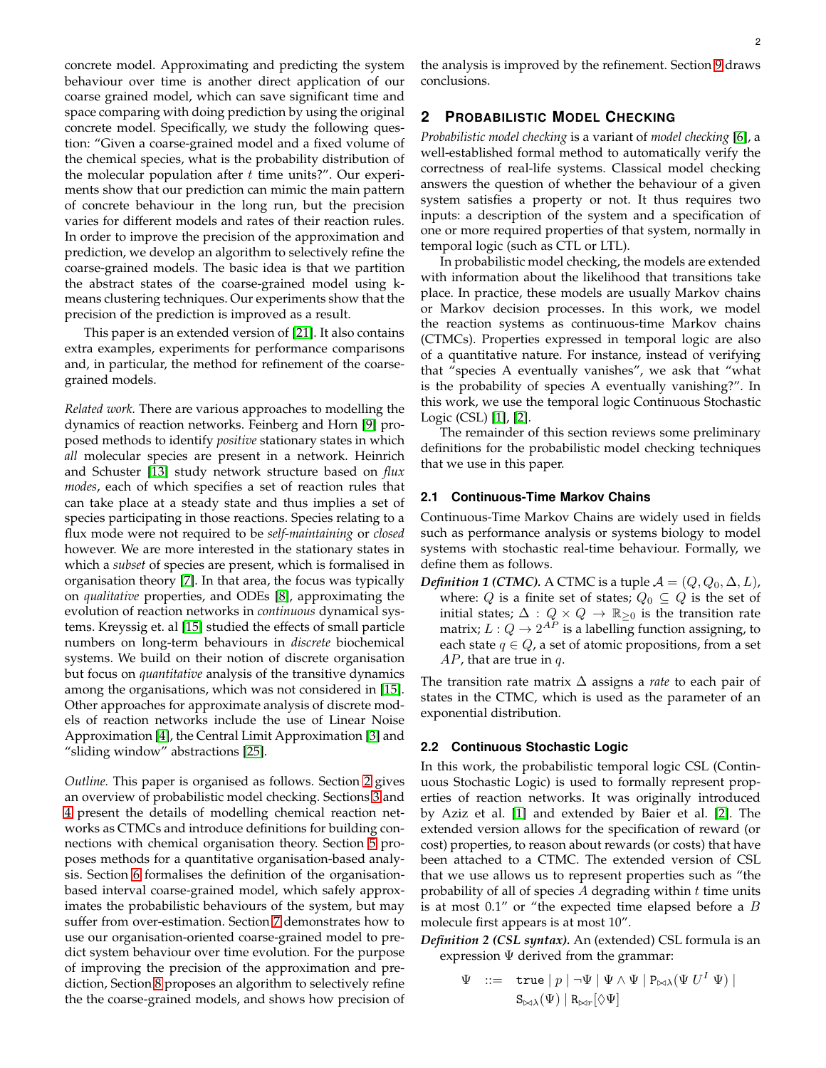concrete model. Approximating and predicting the system behaviour over time is another direct application of our coarse grained model, which can save significant time and space comparing with doing prediction by using the original concrete model. Specifically, we study the following question: "Given a coarse-grained model and a fixed volume of the chemical species, what is the probability distribution of the molecular population after  $t$  time units?". Our experiments show that our prediction can mimic the main pattern of concrete behaviour in the long run, but the precision varies for different models and rates of their reaction rules. In order to improve the precision of the approximation and prediction, we develop an algorithm to selectively refine the coarse-grained models. The basic idea is that we partition the abstract states of the coarse-grained model using kmeans clustering techniques. Our experiments show that the precision of the prediction is improved as a result.

This paper is an extended version of [\[21\]](#page-13-8). It also contains extra examples, experiments for performance comparisons and, in particular, the method for refinement of the coarsegrained models.

*Related work.* There are various approaches to modelling the dynamics of reaction networks. Feinberg and Horn [\[9\]](#page-13-9) proposed methods to identify *positive* stationary states in which *all* molecular species are present in a network. Heinrich and Schuster [\[13\]](#page-13-10) study network structure based on *flux modes*, each of which specifies a set of reaction rules that can take place at a steady state and thus implies a set of species participating in those reactions. Species relating to a flux mode were not required to be *self-maintaining* or *closed* however. We are more interested in the stationary states in which a *subset* of species are present, which is formalised in organisation theory [\[7\]](#page-13-4). In that area, the focus was typically on *qualitative* properties, and ODEs [\[8\]](#page-13-11), approximating the evolution of reaction networks in *continuous* dynamical systems. Kreyssig et. al [\[15\]](#page-13-12) studied the effects of small particle numbers on long-term behaviours in *discrete* biochemical systems. We build on their notion of discrete organisation but focus on *quantitative* analysis of the transitive dynamics among the organisations, which was not considered in [\[15\]](#page-13-12). Other approaches for approximate analysis of discrete models of reaction networks include the use of Linear Noise Approximation [\[4\]](#page-13-13), the Central Limit Approximation [\[3\]](#page-13-14) and "sliding window" abstractions [\[25\]](#page-13-15).

*Outline.* This paper is organised as follows. Section [2](#page-1-0) gives an overview of probabilistic model checking. Sections [3](#page-2-0) and [4](#page-2-1) present the details of modelling chemical reaction networks as CTMCs and introduce definitions for building connections with chemical organisation theory. Section [5](#page-4-0) proposes methods for a quantitative organisation-based analysis. Section [6](#page-6-0) formalises the definition of the organisationbased interval coarse-grained model, which safely approximates the probabilistic behaviours of the system, but may suffer from over-estimation. Section [7](#page-8-0) demonstrates how to use our organisation-oriented coarse-grained model to predict system behaviour over time evolution. For the purpose of improving the precision of the approximation and prediction, Section [8](#page-10-0) proposes an algorithm to selectively refine the the coarse-grained models, and shows how precision of the analysis is improved by the refinement. Section [9](#page-11-0) draws conclusions.

## <span id="page-1-0"></span>**2 PROBABILISTIC MODEL CHECKING**

*Probabilistic model checking* is a variant of *model checking* [\[6\]](#page-13-16), a well-established formal method to automatically verify the correctness of real-life systems. Classical model checking answers the question of whether the behaviour of a given system satisfies a property or not. It thus requires two inputs: a description of the system and a specification of one or more required properties of that system, normally in temporal logic (such as CTL or LTL).

In probabilistic model checking, the models are extended with information about the likelihood that transitions take place. In practice, these models are usually Markov chains or Markov decision processes. In this work, we model the reaction systems as continuous-time Markov chains (CTMCs). Properties expressed in temporal logic are also of a quantitative nature. For instance, instead of verifying that "species A eventually vanishes", we ask that "what is the probability of species A eventually vanishing?". In this work, we use the temporal logic Continuous Stochastic Logic (CSL) [\[1\]](#page-13-17), [\[2\]](#page-13-6).

The remainder of this section reviews some preliminary definitions for the probabilistic model checking techniques that we use in this paper.

## **2.1 Continuous-Time Markov Chains**

Continuous-Time Markov Chains are widely used in fields such as performance analysis or systems biology to model systems with stochastic real-time behaviour. Formally, we define them as follows.

*Definition 1 (CTMC).* A CTMC is a tuple  $\mathcal{A} = (Q, Q_0, \Delta, L)$ , where: Q is a finite set of states;  $Q_0 \subseteq Q$  is the set of initial states;  $\Delta: Q \times Q \rightarrow \mathbb{R}_{\geq 0}$  is the transition rate matrix;  $L: Q \to 2^{AP}$  is a labelling function assigning, to each state  $q \in Q$ , a set of atomic propositions, from a set  $AP$ , that are true in q.

The transition rate matrix ∆ assigns a *rate* to each pair of states in the CTMC, which is used as the parameter of an exponential distribution.

### **2.2 Continuous Stochastic Logic**

In this work, the probabilistic temporal logic CSL (Continuous Stochastic Logic) is used to formally represent properties of reaction networks. It was originally introduced by Aziz et al. [\[1\]](#page-13-17) and extended by Baier et al. [\[2\]](#page-13-6). The extended version allows for the specification of reward (or cost) properties, to reason about rewards (or costs) that have been attached to a CTMC. The extended version of CSL that we use allows us to represent properties such as "the probability of all of species  $A$  degrading within  $t$  time units is at most  $0.1$ " or "the expected time elapsed before a  $B$ molecule first appears is at most 10".

*Definition 2 (CSL syntax).* An (extended) CSL formula is an expression  $\Psi$  derived from the grammar:

$$
\begin{array}{rcl}\Psi & ::= & \texttt{true} \mid p \mid \neg \Psi \mid \Psi \wedge \Psi \mid \mathtt{P}_{\bowtie \lambda}(\Psi \ U^I \ \Psi) \mid \\ & & \\ \mathtt{S}_{\bowtie \lambda}(\Psi) \mid \mathtt{R}_{\bowtie r}[\lozenge \Psi]\end{array}
$$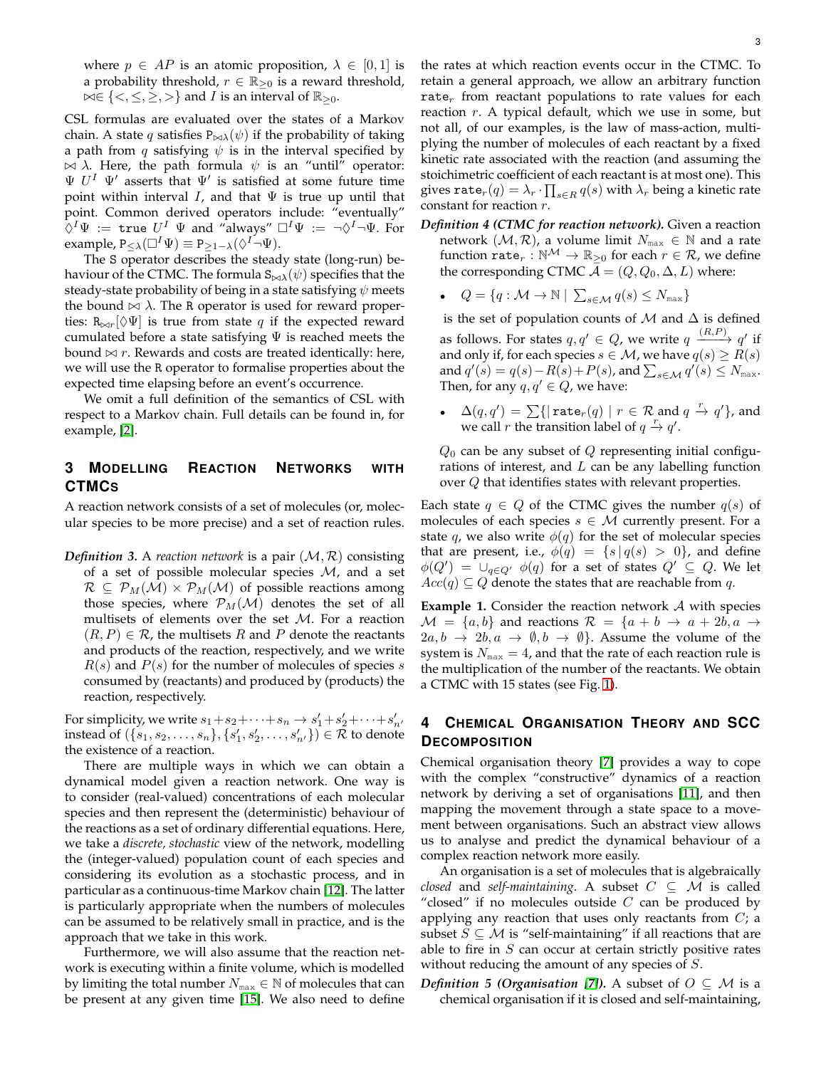where  $p \in AP$  is an atomic proposition,  $\lambda \in [0,1]$  is a probability threshold,  $r \in \mathbb{R}_{\geq 0}$  is a reward threshold,  $\bowtie \in \{<,\leq, \geq, >\}$  and *I* is an interval of  $\mathbb{R}_{\geq 0}$ .

CSL formulas are evaluated over the states of a Markov chain. A state q satisfies  $P_{\bowtie \lambda}(\psi)$  if the probability of taking a path from q satisfying  $\psi$  is in the interval specified by  $\Join \lambda$ . Here, the path formula  $\psi$  is an "until" operator:  $\Psi$   $U^I$   $\Psi'$  asserts that  $\Psi'$  is satisfied at some future time point within interval  $I$ , and that  $\Psi$  is true up until that point. Common derived operators include: "eventually"  $\Diamond^I \Psi \; := \; {\tt true} \; \, U^I \; \, \Psi \;$  and "always"  $\Box^I \Psi \; := \; \neg \Diamond^I \neg \Psi.$  For example,  $P_{\leq \lambda}(\Box^I \Psi) \equiv P_{\geq 1-\lambda}(\Diamond^{I} \neg \Psi).$ 

The S operator describes the steady state (long-run) behaviour of the CTMC. The formula  $S_{\bowtie \lambda}(\psi)$  specifies that the steady-state probability of being in a state satisfying  $\psi$  meets the bound  $\Join \lambda$ . The R operator is used for reward properties: R<sub>⊠r</sub>[ $\Diamond \Psi$ ] is true from state q if the expected reward cumulated before a state satisfying  $\Psi$  is reached meets the bound  $\Join$  r. Rewards and costs are treated identically: here, we will use the R operator to formalise properties about the expected time elapsing before an event's occurrence.

We omit a full definition of the semantics of CSL with respect to a Markov chain. Full details can be found in, for example, [\[2\]](#page-13-6).

# <span id="page-2-0"></span>**3 MODELLING REACTION NETWORKS WITH CTMCS**

A reaction network consists of a set of molecules (or, molecular species to be more precise) and a set of reaction rules.

*Definition 3.* A *reaction network* is a pair  $(M, R)$  consisting of a set of possible molecular species  $M$ , and a set  $\mathcal{R} \subseteq \mathcal{P}_M(\mathcal{M}) \times \mathcal{P}_M(\mathcal{M})$  of possible reactions among those species, where  $\mathcal{P}_M(\mathcal{M})$  denotes the set of all multisets of elements over the set M. For a reaction  $(R, P) \in \mathcal{R}$ , the multisets R and P denote the reactants and products of the reaction, respectively, and we write  $R(s)$  and  $P(s)$  for the number of molecules of species s consumed by (reactants) and produced by (products) the reaction, respectively.

For simplicity, we write  $s_1 + s_2 + \cdots + s_n \to s_1' + s_2' + \cdots + s_n'$ instead of  $(\{s_1,s_2,\ldots,s_n\},\{s_1',s_2',\ldots,s_{n'}'\})\in \mathcal{R}$  to denote the existence of a reaction.

There are multiple ways in which we can obtain a dynamical model given a reaction network. One way is to consider (real-valued) concentrations of each molecular species and then represent the (deterministic) behaviour of the reactions as a set of ordinary differential equations. Here, we take a *discrete, stochastic* view of the network, modelling the (integer-valued) population count of each species and considering its evolution as a stochastic process, and in particular as a continuous-time Markov chain [\[12\]](#page-13-18). The latter is particularly appropriate when the numbers of molecules can be assumed to be relatively small in practice, and is the approach that we take in this work.

Furthermore, we will also assume that the reaction network is executing within a finite volume, which is modelled by limiting the total number  $N_{\text{max}} \in \mathbb{N}$  of molecules that can be present at any given time [\[15\]](#page-13-12). We also need to define

the rates at which reaction events occur in the CTMC. To retain a general approach, we allow an arbitrary function rate<sub>r</sub> from reactant populations to rate values for each reaction r. A typical default, which we use in some, but not all, of our examples, is the law of mass-action, multiplying the number of molecules of each reactant by a fixed kinetic rate associated with the reaction (and assuming the stoichimetric coefficient of each reactant is at most one). This gives  $\texttt{rate}_r(q) = \lambda_r \cdot \prod_{s \in R} q(s)$  with  $\lambda_r$  being a kinetic rate constant for reaction r.

- *Definition 4 (CTMC for reaction network).* Given a reaction network  $(M, \mathcal{R})$ , a volume limit  $N_{\text{max}} \in \mathbb{N}$  and a rate function rate<sub>r</sub> :  $\mathbb{N}^{\mathcal{M}} \to \mathbb{R}_{\geq 0}$  for each  $r \in \mathcal{R}$ , we define the corresponding CTMC  $\overline{A} = (Q, Q_0, \Delta, L)$  where:
	- $Q = \{q : \mathcal{M} \to \mathbb{N} \mid \sum_{s \in \mathcal{M}} q(s) \leq N_{\text{max}}\}\$

is the set of population counts of  $M$  and  $\Delta$  is defined as follows. For states  $q, q' \in Q$ , we write  $q \xrightarrow{(R,P)} q'$  if and only if, for each species  $s \in M$ , we have  $q(s) \ge R(s)$ and  $q'(s) = q(s) - R(s) + P(s)$ , and  $\sum_{s \in \mathcal{M}} q'(s) \leq N_{\text{max}}$ . Then, for any  $q, q' \in Q$ , we have:

 $\bullet\quad \Delta(q,q')\,=\, \sum\{|\,\texttt{rate}_r(q)\,|\, \,r\,\in\, \mathcal{R}\,\, \text{and}\,\,q\,\stackrel{r}{\rightarrow}\,q'\},$  and we call r the transition label of  $q \stackrel{r}{\rightarrow} q'$ .

 $Q_0$  can be any subset of  $Q$  representing initial configurations of interest, and  $L$  can be any labelling function over Q that identifies states with relevant properties.

Each state  $q \in Q$  of the CTMC gives the number  $q(s)$  of molecules of each species  $s \in M$  currently present. For a state q, we also write  $\phi(q)$  for the set of molecular species that are present, i.e.,  $\phi(q) = \{s | q(s) > 0\}$ , and define  $\phi(Q') \;=\; \cup_{q \in Q'} \; \phi(q)$  for a set of states  $Q' \;\subseteq\; Q.$  We let  $Acc(q) \subseteq Q$  denote the states that are reachable from q.

<span id="page-2-2"></span>**Example 1.** Consider the reaction network  $A$  with species  $\mathcal{M} = \{a, b\}$  and reactions  $\mathcal{R} = \{a + b \rightarrow a + 2b, a \rightarrow b\}$  $2a, b \rightarrow 2b, a \rightarrow \emptyset, b \rightarrow \emptyset$ . Assume the volume of the system is  $N_{\text{max}} = 4$ , and that the rate of each reaction rule is the multiplication of the number of the reactants. We obtain a CTMC with 15 states (see Fig. [1\)](#page-3-0).

# <span id="page-2-1"></span>**4 CHEMICAL ORGANISATION THEORY AND SCC DECOMPOSITION**

Chemical organisation theory [\[7\]](#page-13-4) provides a way to cope with the complex "constructive" dynamics of a reaction network by deriving a set of organisations [\[11\]](#page-13-19), and then mapping the movement through a state space to a movement between organisations. Such an abstract view allows us to analyse and predict the dynamical behaviour of a complex reaction network more easily.

An organisation is a set of molecules that is algebraically *closed* and *self-maintaining*. A subset  $C \subseteq M$  is called "closed" if no molecules outside  $C$  can be produced by applying any reaction that uses only reactants from  $C$ ; a subset  $S \subseteq M$  is "self-maintaining" if all reactions that are able to fire in  $S$  can occur at certain strictly positive rates without reducing the amount of any species of S.

*Definition 5 (Organisation [\[7\]](#page-13-4)).* A subset of  $O \subseteq M$  is a chemical organisation if it is closed and self-maintaining,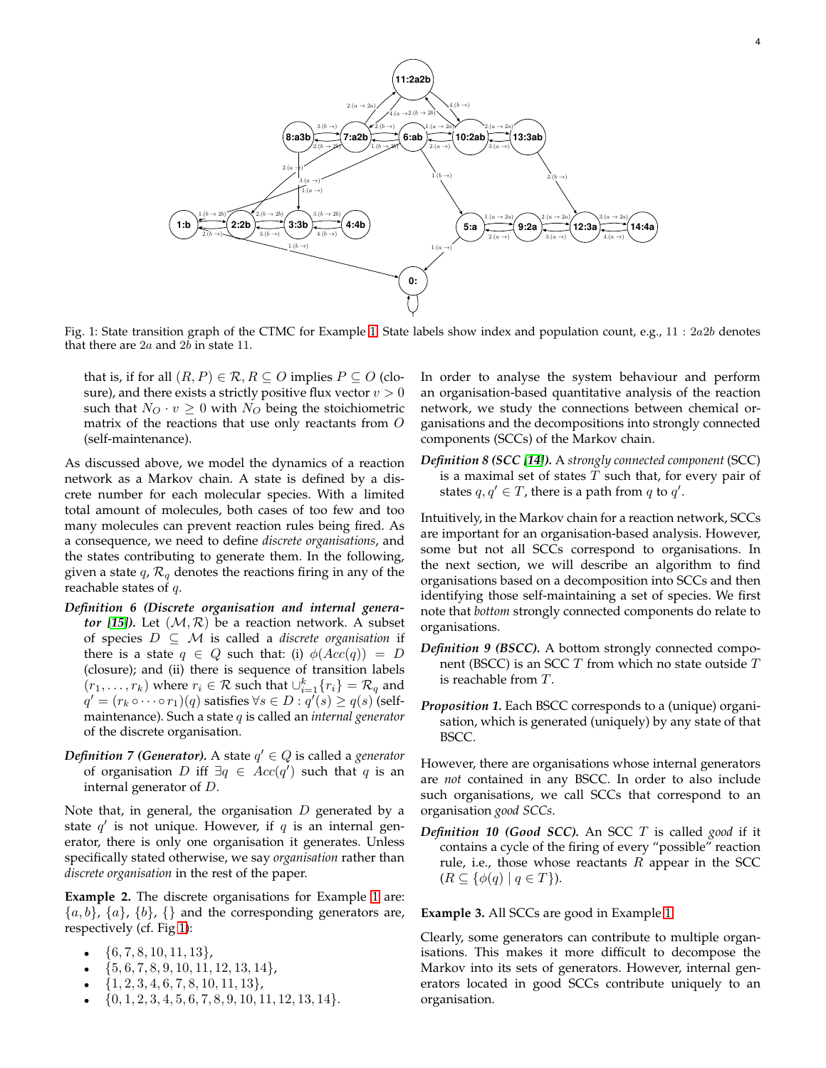<span id="page-3-0"></span>

Fig. 1: State transition graph of the CTMC for Example [1.](#page-2-2) State labels show index and population count, e.g., 11 : 2a2b denotes that there are 2a and 2b in state 11.

that is, if for all  $(R, P) \in \mathcal{R}, R \subseteq O$  implies  $P \subseteq O$  (closure), and there exists a strictly positive flux vector  $v > 0$ such that  $N_O \cdot v \geq 0$  with  $N_O$  being the stoichiometric matrix of the reactions that use only reactants from O (self-maintenance).

As discussed above, we model the dynamics of a reaction network as a Markov chain. A state is defined by a discrete number for each molecular species. With a limited total amount of molecules, both cases of too few and too many molecules can prevent reaction rules being fired. As a consequence, we need to define *discrete organisations*, and the states contributing to generate them. In the following, given a state  $q$ ,  $\mathcal{R}_q$  denotes the reactions firing in any of the reachable states of q.

- *Definition 6 (Discrete organisation and internal generator* [\[15\]](#page-13-12)). Let  $(M, R)$  be a reaction network. A subset of species D ⊆ M is called a *discrete organisation* if there is a state  $q \in Q$  such that: (i)  $\phi(Acc(q)) = D$ (closure); and (ii) there is sequence of transition labels  $(r_1,\ldots,r_k)$  where  $r_i\in\mathcal{R}$  such that  $\cup_{i=1}^k\{r_i\}=\mathcal{R}_q$  and  $q' = (r_k \circ \cdots \circ r_1)(q)$  satisfies  $\forall s \in D : q'(s) \geq q(s)$  (selfmaintenance). Such a state q is called an *internal generator* of the discrete organisation.
- *Definition 7 (Generator).* A state  $q' \in Q$  is called a generator of organisation D iff  $\exists q \in Acc(q')$  such that q is an internal generator of D.

Note that, in general, the organisation  $D$  generated by a state  $q'$  is not unique. However, if  $q$  is an internal generator, there is only one organisation it generates. Unless specifically stated otherwise, we say *organisation* rather than *discrete organisation* in the rest of the paper.

**Example 2.** The discrete organisations for Example [1](#page-2-2) are:  $\{a,b\}, \{a\}, \{b\}, \{\}\$  and the corresponding generators are, respectively (cf. Fig [1\)](#page-3-0):

- $\{6, 7, 8, 10, 11, 13\},\$
- $\{5, 6, 7, 8, 9, 10, 11, 12, 13, 14\},\$
- $\{1, 2, 3, 4, 6, 7, 8, 10, 11, 13\},\$
- $\{0, 1, 2, 3, 4, 5, 6, 7, 8, 9, 10, 11, 12, 13, 14\}.$

In order to analyse the system behaviour and perform an organisation-based quantitative analysis of the reaction network, we study the connections between chemical organisations and the decompositions into strongly connected components (SCCs) of the Markov chain.

*Definition 8 (SCC [\[14\]](#page-13-20)).* A *strongly connected component* (SCC) is a maximal set of states  $T$  such that, for every pair of states  $q, q' \in T$ , there is a path from  $q$  to  $q'$ .

Intuitively, in the Markov chain for a reaction network, SCCs are important for an organisation-based analysis. However, some but not all SCCs correspond to organisations. In the next section, we will describe an algorithm to find organisations based on a decomposition into SCCs and then identifying those self-maintaining a set of species. We first note that *bottom* strongly connected components do relate to organisations.

- *Definition 9 (BSCC).* A bottom strongly connected component (BSCC) is an SCC  $T$  from which no state outside  $T$ is reachable from  $T$ .
- *Proposition 1.* Each BSCC corresponds to a (unique) organisation, which is generated (uniquely) by any state of that BSCC.

However, there are organisations whose internal generators are *not* contained in any BSCC. In order to also include such organisations, we call SCCs that correspond to an organisation *good SCCs*.

*Definition 10 (Good SCC).* An SCC T is called *good* if it contains a cycle of the firing of every "possible" reaction rule, i.e., those whose reactants  $R$  appear in the SCC  $(R \subseteq {\phi(q) \mid q \in T}$ ).

**Example 3.** All SCCs are good in Example [1.](#page-2-2)

Clearly, some generators can contribute to multiple organisations. This makes it more difficult to decompose the Markov into its sets of generators. However, internal generators located in good SCCs contribute uniquely to an organisation.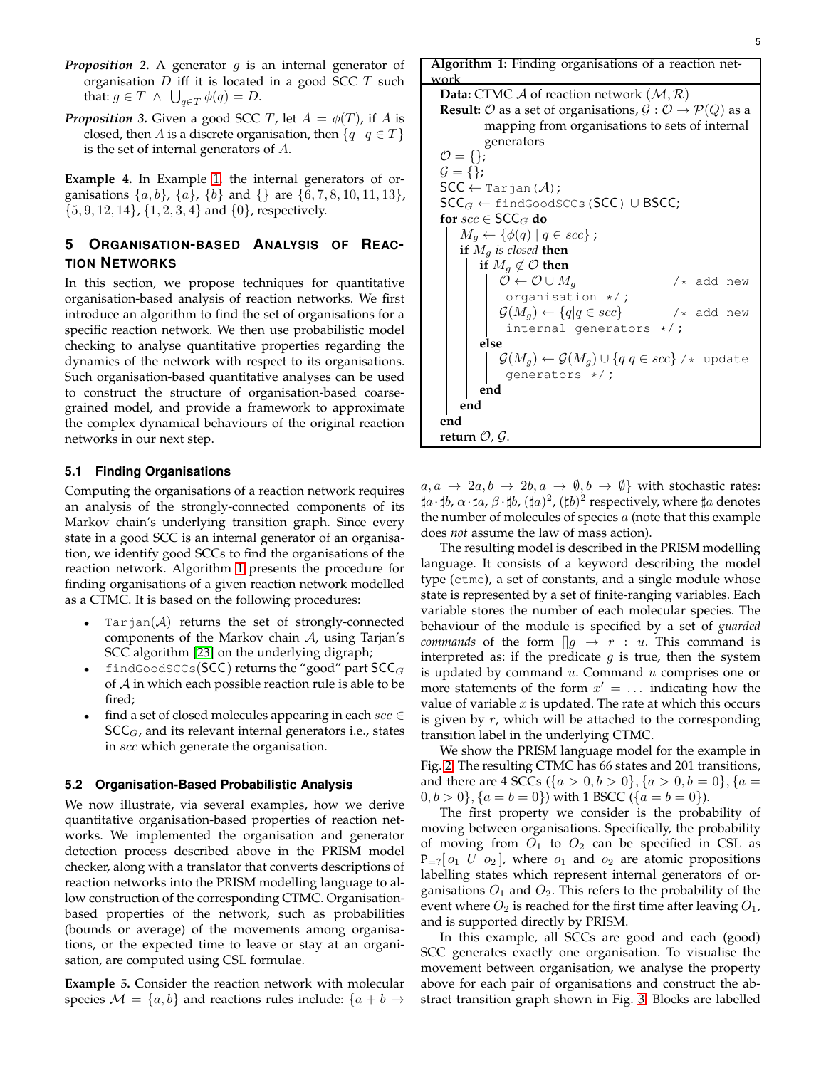- *Proposition 2.* A generator *g* is an internal generator of organisation  $D$  iff it is located in a good SCC  $T$  such that:  $g \in T \; \wedge \; \bigcup_{q \in T} \phi(q) = D.$
- *Proposition 3.* Given a good SCC T, let  $A = \phi(T)$ , if A is closed, then *A* is a discrete organisation, then  $\{q | q \in T\}$ is the set of internal generators of A.

**Example 4.** In Example [1,](#page-2-2) the internal generators of organisations  $\{a, b\}$ ,  $\{a\}$ ,  $\{b\}$  and  $\{\}$  are  $\{6, 7, 8, 10, 11, 13\}$ ,  $\{5, 9, 12, 14\}$ ,  $\{1, 2, 3, 4\}$  and  $\{0\}$ , respectively.

# <span id="page-4-0"></span>**5 ORGANISATION-BASED ANALYSIS OF REAC-TION NETWORKS**

In this section, we propose techniques for quantitative organisation-based analysis of reaction networks. We first introduce an algorithm to find the set of organisations for a specific reaction network. We then use probabilistic model checking to analyse quantitative properties regarding the dynamics of the network with respect to its organisations. Such organisation-based quantitative analyses can be used to construct the structure of organisation-based coarsegrained model, and provide a framework to approximate the complex dynamical behaviours of the original reaction networks in our next step.

## **5.1 Finding Organisations**

Computing the organisations of a reaction network requires an analysis of the strongly-connected components of its Markov chain's underlying transition graph. Since every state in a good SCC is an internal generator of an organisation, we identify good SCCs to find the organisations of the reaction network. Algorithm [1](#page-4-1) presents the procedure for finding organisations of a given reaction network modelled as a CTMC. It is based on the following procedures:

- Tarjan( $A$ ) returns the set of strongly-connected components of the Markov chain A, using Tarjan's SCC algorithm [\[23\]](#page-13-21) on the underlying digraph;
- findGoodSCCs( $SCC$ ) returns the "good" part  $SCC<sub>G</sub>$ of  $A$  in which each possible reaction rule is able to be fired;
- find a set of closed molecules appearing in each  $\mathit{scc} \in$  $SCC<sub>G</sub>$ , and its relevant internal generators i.e., states in scc which generate the organisation.

#### **5.2 Organisation-Based Probabilistic Analysis**

We now illustrate, via several examples, how we derive quantitative organisation-based properties of reaction networks. We implemented the organisation and generator detection process described above in the PRISM model checker, along with a translator that converts descriptions of reaction networks into the PRISM modelling language to allow construction of the corresponding CTMC. Organisationbased properties of the network, such as probabilities (bounds or average) of the movements among organisations, or the expected time to leave or stay at an organisation, are computed using CSL formulae.

<span id="page-4-2"></span>**Example 5.** Consider the reaction network with molecular species  $\mathcal{M} = \{a, b\}$  and reactions rules include:  $\{a + b \rightarrow$ 

**Algorithm 1:** Finding organisations of a reaction network **Data:** CTMC  $\mathcal A$  of reaction network  $(\mathcal M, \mathcal R)$ **Result:**  $\mathcal O$  as a set of organisations,  $\mathcal G : \mathcal O \to \mathcal P(Q)$  as a mapping from organisations to sets of internal generators  $\mathcal{O} = \{\};$  $\mathcal{G} = \{\};$  $\mathsf{SCC} \leftarrow \text{Tarjan}(\mathcal{A});$  $SCC_G \leftarrow$  findGoodSCCs(SCC) ∪ BSCC; **for**  $\mathit{scc} \in \mathsf{SCC}_G$  **do**  $M_q \leftarrow \{ \phi(q) \mid q \in \mathit{scc} \}$ ; **if**  $M_q$  *is closed* **then if**  $M_g \notin \mathcal{O}$  **then**  $\mathcal{O} \leftarrow \mathcal{O} \cup M_q$  /\* add new organisation \*/ ;  $\mathcal{G}(M_q) \leftarrow \{q | q \in scc\}$  /\* add new internal generators \*/ ; **else**  $\mathcal{G}(M_q) \leftarrow \mathcal{G}(M_q) \cup \{q | q \in scc\}$  /\* update generators \*/ ; **end end end return** O*,* G.

<span id="page-4-1"></span> $a, a \rightarrow 2a, b \rightarrow 2b, a \rightarrow \emptyset, b \rightarrow \emptyset$  with stochastic rates:  $\sharp a\!\cdot\!\sharp b$ ,  $\alpha\!\cdot\!\sharp a$ ,  $\beta\!\cdot\!\sharp b$ ,  $(\sharp a)^2$ ,  $(\sharp b)^2$  respectively, where  $\sharp a$  denotes the number of molecules of species  $a$  (note that this example does *not* assume the law of mass action).

The resulting model is described in the PRISM modelling language. It consists of a keyword describing the model type (ctmc), a set of constants, and a single module whose state is represented by a set of finite-ranging variables. Each variable stores the number of each molecular species. The behaviour of the module is specified by a set of *guarded commands* of the form  $\|g \to r : u$ . This command is interpreted as: if the predicate  $q$  is true, then the system is updated by command  $u$ . Command  $u$  comprises one or more statements of the form  $x' = \ldots$  indicating how the value of variable  $x$  is updated. The rate at which this occurs is given by  $r$ , which will be attached to the corresponding transition label in the underlying CTMC.

We show the PRISM language model for the example in Fig. [2.](#page-5-0) The resulting CTMC has 66 states and 201 transitions, and there are 4 SCCs ( $\{a > 0, b > 0\}, \{a > 0, b = 0\}, \{a = 0\}$  $(0, b > 0\}, \{a = b = 0\})$  with 1 BSCC  $(\{a = b = 0\}).$ 

The first property we consider is the probability of moving between organisations. Specifically, the probability of moving from  $O_1$  to  $O_2$  can be specified in CSL as  $P_{=?}[o_1 \ U \ o_2]$ , where  $o_1$  and  $o_2$  are atomic propositions labelling states which represent internal generators of organisations  $O_1$  and  $O_2$ . This refers to the probability of the event where  $O_2$  is reached for the first time after leaving  $O_1$ , and is supported directly by PRISM.

In this example, all SCCs are good and each (good) SCC generates exactly one organisation. To visualise the movement between organisation, we analyse the property above for each pair of organisations and construct the abstract transition graph shown in Fig. [3.](#page-5-1) Blocks are labelled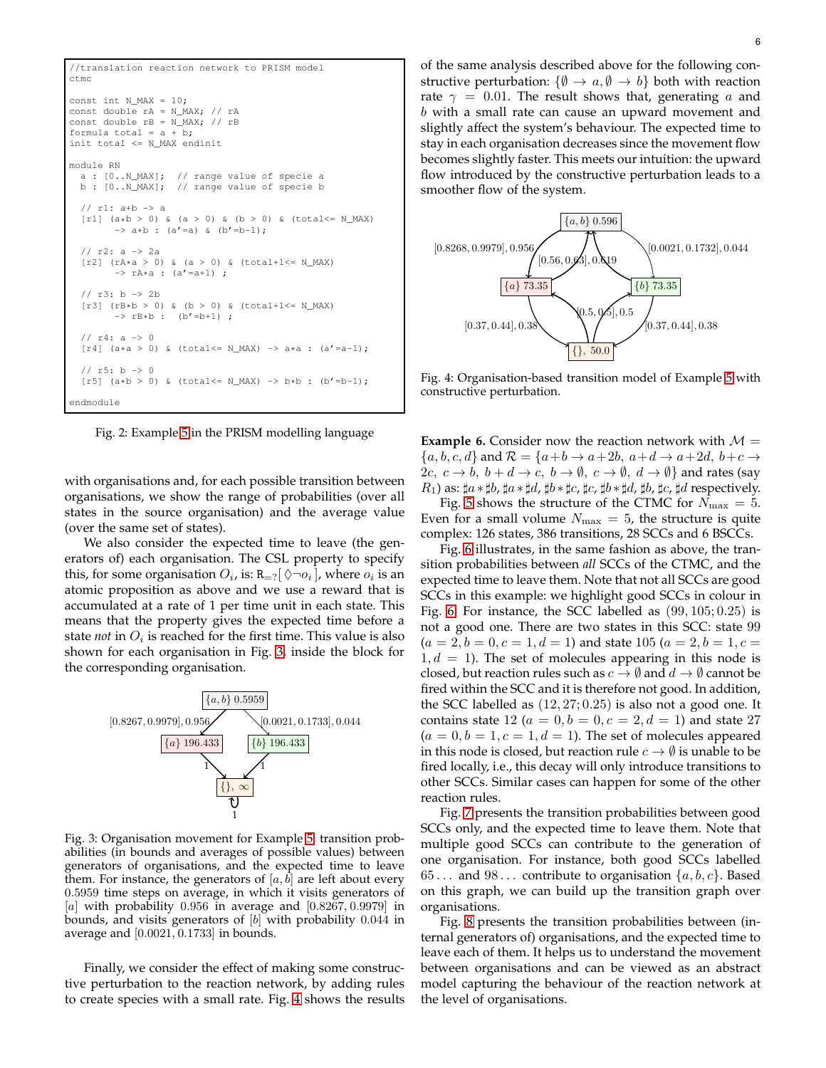```
//translation reaction network to PRISM model
ctmc
const int N_MAX = 10;
const double rA = N_MAX; // rA
const double rB = N_MAX; // rBformula total = a + b:
init total <= N_MAX endinit
module RN
  a : [0..N_MAX]; // range value of specie a
 b : [0..N_MAX]; // range value of specie b
  // r1: a+b -> a
  [r1] (a*b > 0) & (a > 0) & (b > 0) & (total<= N_MAX)\begin{array}{cccc} -\!\!> a \!\star\! b & \!\! : & \!\! (a' \!=\!\! a) & \!\! \& & \!\! (b' \!=\!\! b \!-\! 1) \! \! ; \end{array}// r2: a -> 2a
  [r2] (rA*a > 0) & (a > 0) & (total+1 <= N_MAX)
         \rightarrow rA*a : (a'=a+1) ;
  1/ r3: b -> 2b
  [r3] (rB*b > 0) & (b > 0) & (total+1<= N\_MAX)\Rightarrow rB*b : (b'=b+1) ;
  // r4: a \rightarrow 0[r4] (a*a > 0) & (total <= N_MAX) -> a*a : (a'=a-1);
  1/ r5: b -> 0
  [r5] (a*b > 0) & (total <= N_MAX) -> b*b : (b'=b-1);
endmodule
```
Fig. 2: Example [5](#page-4-2) in the PRISM modelling language

with organisations and, for each possible transition between organisations, we show the range of probabilities (over all states in the source organisation) and the average value (over the same set of states).

We also consider the expected time to leave (the generators of) each organisation. The CSL property to specify this, for some organisation  $O_i$ , is:  $R_{=?}[\diamondsuit \neg o_i]$ , where  $o_i$  is an atomic proposition as above and we use a reward that is accumulated at a rate of 1 per time unit in each state. This means that the property gives the expected time before a state *not* in  $O_i$  is reached for the first time. This value is also shown for each organisation in Fig. [3,](#page-5-1) inside the block for the corresponding organisation.

<span id="page-5-1"></span>

Fig. 3: Organisation movement for Example [5:](#page-4-2) transition probabilities (in bounds and averages of possible values) between generators of organisations, and the expected time to leave them. For instance, the generators of  $[a, \bar{b}]$  are left about every 0.5959 time steps on average, in which it visits generators of [a] with probability 0.956 in average and  $[0.8267, 0.9979]$  in bounds, and visits generators of [b] with probability 0.044 in average and [0.0021, 0.1733] in bounds.

Finally, we consider the effect of making some constructive perturbation to the reaction network, by adding rules to create species with a small rate. Fig. [4](#page-5-2) shows the results rate  $\gamma = 0.01$ . The result shows that, generating a and b with a small rate can cause an upward movement and slightly affect the system's behaviour. The expected time to stay in each organisation decreases since the movement flow becomes slightly faster. This meets our intuition: the upward flow introduced by the constructive perturbation leads to a smoother flow of the system.

<span id="page-5-2"></span>

Fig. 4: Organisation-based transition model of Example [5](#page-4-2) with constructive perturbation.

<span id="page-5-3"></span>**Example 6.** Consider now the reaction network with  $M =$  ${a, b, c, d}$  and  $\mathcal{R} = \{a+b \rightarrow a+2b, a+d \rightarrow a+2d, b+c \rightarrow a+b \}$  $2c, c \rightarrow b, b+d \rightarrow c, b \rightarrow \emptyset, c \rightarrow \emptyset, d \rightarrow \emptyset$  and rates (say  $R_1$ ) as:  $\sharp a * \sharp b$ ,  $\sharp a * \sharp d$ ,  $\sharp b * \sharp c$ ,  $\sharp c$ ,  $\sharp b * \sharp d$ ,  $\sharp b$ ,  $\sharp c$ ,  $\sharp d$  respectively.

Fig. [5](#page-6-1) shows the structure of the CTMC for  $N_{\text{max}} = 5$ . Even for a small volume  $N_{\text{max}} = 5$ , the structure is quite complex: 126 states, 386 transitions, 28 SCCs and 6 BSCCs.

Fig. [6](#page-6-2) illustrates, in the same fashion as above, the transition probabilities between *all* SCCs of the CTMC, and the expected time to leave them. Note that not all SCCs are good SCCs in this example: we highlight good SCCs in colour in Fig. [6.](#page-6-2) For instance, the SCC labelled as  $(99, 105, 0.25)$  is not a good one. There are two states in this SCC: state 99  $(a = 2, b = 0, c = 1, d = 1)$  and state 105  $(a = 2, b = 1, c = 1)$  $1, d = 1$ ). The set of molecules appearing in this node is closed, but reaction rules such as  $c \to \emptyset$  and  $d \to \emptyset$  cannot be fired within the SCC and it is therefore not good. In addition, the SCC labelled as  $(12, 27, 0.25)$  is also not a good one. It contains state 12 ( $a = 0, b = 0, c = 2, d = 1$ ) and state 27  $(a = 0, b = 1, c = 1, d = 1)$ . The set of molecules appeared in this node is closed, but reaction rule  $c \to \emptyset$  is unable to be fired locally, i.e., this decay will only introduce transitions to other SCCs. Similar cases can happen for some of the other reaction rules.

Fig. [7](#page-7-0) presents the transition probabilities between good SCCs only, and the expected time to leave them. Note that multiple good SCCs can contribute to the generation of one organisation. For instance, both good SCCs labelled  $65...$  and  $98...$  contribute to organisation  $\{a, b, c\}$ . Based on this graph, we can build up the transition graph over organisations.

Fig. [8](#page-7-1) presents the transition probabilities between (internal generators of) organisations, and the expected time to leave each of them. It helps us to understand the movement between organisations and can be viewed as an abstract model capturing the behaviour of the reaction network at the level of organisations.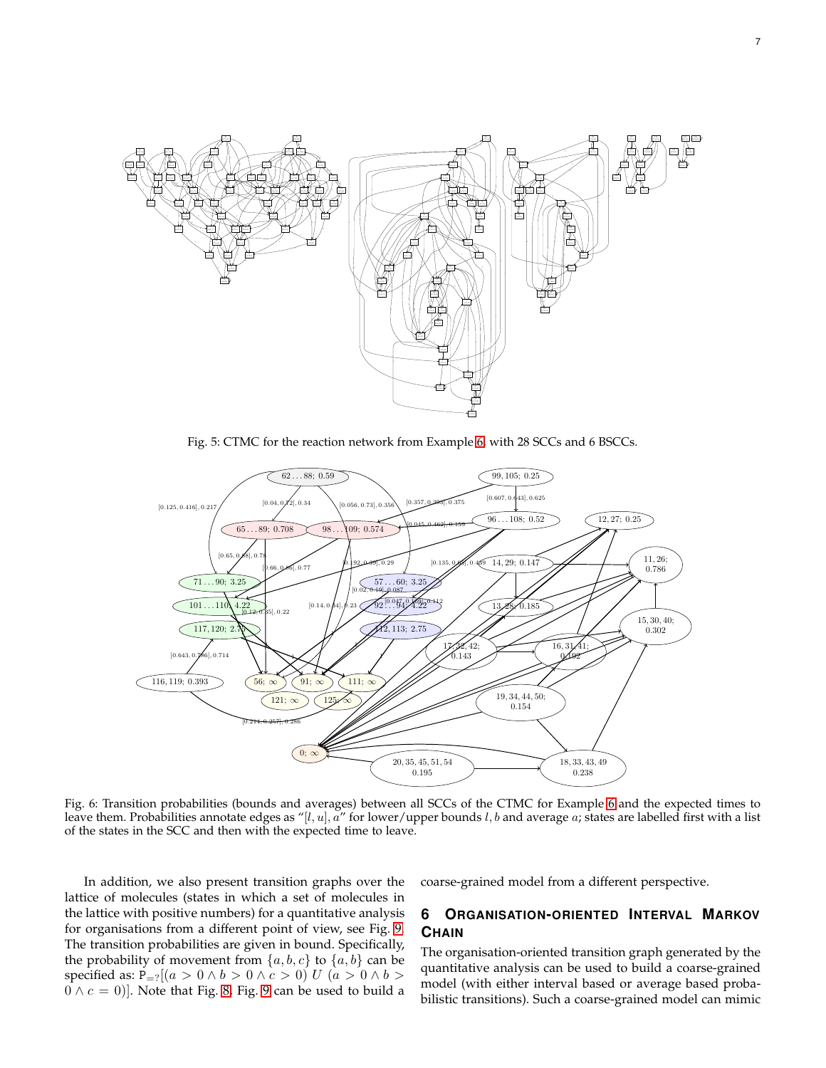<span id="page-6-1"></span>

Fig. 5: CTMC for the reaction network from Example [6,](#page-5-3) with 28 SCCs and 6 BSCCs.

<span id="page-6-2"></span>

Fig. 6: Transition probabilities (bounds and averages) between all SCCs of the CTMC for Example [6](#page-5-3) and the expected times to leave them. Probabilities annotate edges as "[l,  $u$ ],  $a$ " for lower/upper bounds  $l,b$  and average  $a$ ; states are labelled first with a list of the states in the SCC and then with the expected time to leave.

In addition, we also present transition graphs over the lattice of molecules (states in which a set of molecules in the lattice with positive numbers) for a quantitative analysis for organisations from a different point of view, see Fig. [9.](#page-8-1) The transition probabilities are given in bound. Specifically, the probability of movement from  $\{a, b, c\}$  to  $\{a, b\}$  can be specified as:  $P_{=?}[(a > 0 \land b > 0 \land c > 0) U (a > 0 \land b > 0])$  $0 \wedge c = 0$ ]. Note that Fig. [8,](#page-7-1) Fig. [9](#page-8-1) can be used to build a

coarse-grained model from a different perspective.

## <span id="page-6-0"></span>**6 ORGANISATION-ORIENTED INTERVAL MARKOV CHAIN**

The organisation-oriented transition graph generated by the quantitative analysis can be used to build a coarse-grained model (with either interval based or average based probabilistic transitions). Such a coarse-grained model can mimic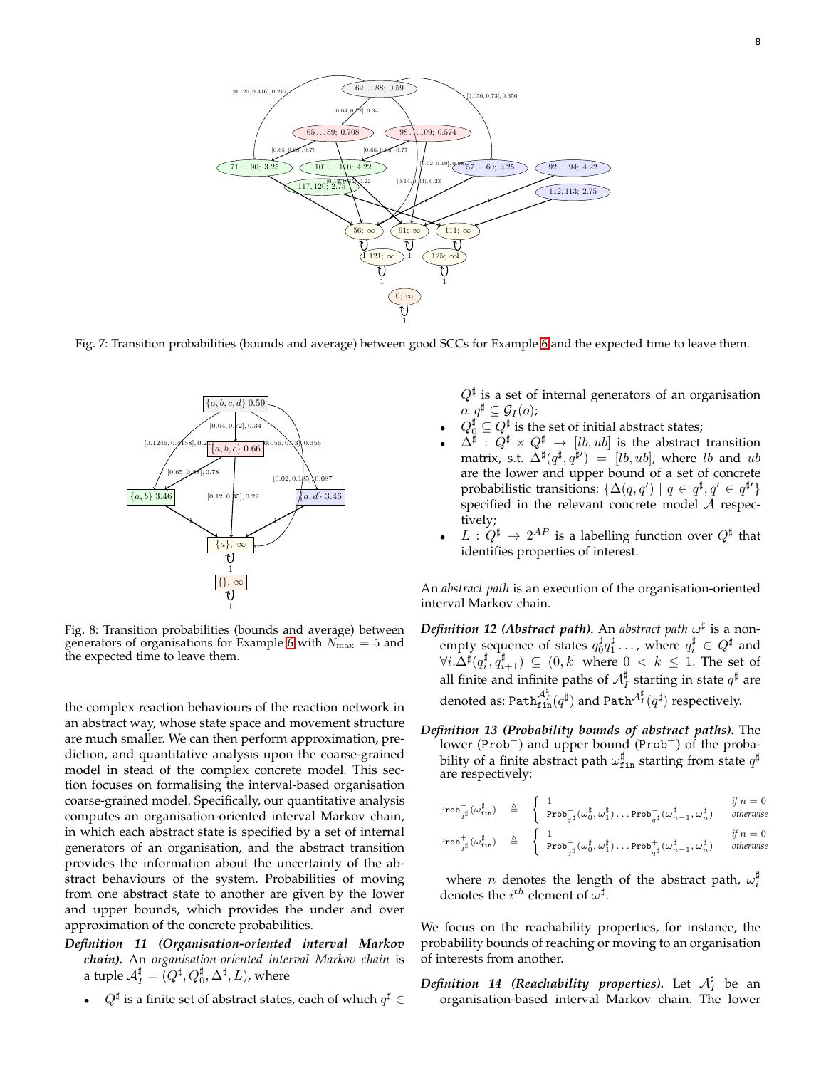<span id="page-7-0"></span>

<span id="page-7-1"></span>Fig. 7: Transition probabilities (bounds and average) between good SCCs for Example [6](#page-5-3) and the expected time to leave them.



Fig. 8: Transition probabilities (bounds and average) between generators of organisations for Example [6](#page-5-3) with  $N_{\text{max}} = 5$  and the expected time to leave them.

the complex reaction behaviours of the reaction network in an abstract way, whose state space and movement structure are much smaller. We can then perform approximation, prediction, and quantitative analysis upon the coarse-grained model in stead of the complex concrete model. This section focuses on formalising the interval-based organisation coarse-grained model. Specifically, our quantitative analysis computes an organisation-oriented interval Markov chain, in which each abstract state is specified by a set of internal generators of an organisation, and the abstract transition provides the information about the uncertainty of the abstract behaviours of the system. Probabilities of moving from one abstract state to another are given by the lower and upper bounds, which provides the under and over approximation of the concrete probabilities.

- *Definition 11 (Organisation-oriented interval Markov chain).* An *organisation-oriented interval Markov chain* is a tuple  $\mathcal{A}_I^\sharp=(Q^\sharp,Q_0^\sharp,\Delta^\sharp,L)$ , where
	- $Q^\sharp$  is a finite set of abstract states, each of which  $q^\sharp \in$

 $Q^\sharp$  is a set of internal generators of an organisation  $o: q^{\sharp} \subseteq \mathcal{G}_I(o);$ 

- $Q_0^{\sharp} \subseteq Q_{\perp}^{\sharp}$  is the set of initial abstract states;
- $\Delta^{\sharp}$  :  $Q^{\sharp} \times Q^{\sharp} \rightarrow [lb, ub]$  is the abstract transition matrix, s.t.  $\Delta^{\sharp}(q^{\sharp}, q^{\sharp\prime}) = [lb, ub]$ , where  $lb$  and  $ub$ are the lower and upper bound of a set of concrete probabilistic transitions:  $\{\Delta(q,q') \mid q \in q^\sharp, q' \in q^{\sharp\prime}\}$ specified in the relevant concrete model  $A$  respectively;
- $L: Q^{\sharp} \to 2^{AP}$  is a labelling function over  $Q^{\sharp}$  that identifies properties of interest.

An *abstract path* is an execution of the organisation-oriented interval Markov chain.

- *Definition 12 (Abstract path).* An *abstract path* ω ♯ is a nonempty sequence of states  $q_0^\sharp q_1^\sharp \ldots$  , where  $q_i^\sharp \, \in \, Q^\sharp$  and  $\forall i. \Delta^{\sharp}(q_i^{\sharp}, \hat{q}_{i+1}^{\sharp}) \subseteq (0, k]$  where  $0 \lt k \leq 1$ . The set of all finite and infinite paths of  ${\cal A}^\sharp_I$  starting in state  $q^\sharp$  are denoted as:  $\texttt{Path}_{\texttt{fin}}^{\mathcal{A}^\sharp(q^\sharp)}$  and  $\texttt{Path}^{\mathcal{A}^\sharp(q^\sharp)}$  respectively.
- *Definition 13 (Probability bounds of abstract paths).* The lower (Prob<sup>−</sup>) and upper bound (Prob<sup>+</sup>) of the probability of a finite abstract path  $\omega_{\mathtt{fin}}^\sharp$  starting from state  $q^\sharp$ are respectively:

$$
\begin{array}{ccc} \text{Prob}^-_{q^\sharp}(\omega^\sharp_{\text{fin}}) & \triangleq & \left\{ \begin{array}{ccc} 1 & & \text{if } n=0 \\ \text{Prob}^-_{q^\sharp}(\omega^\sharp_0,\omega^\sharp_1)\ldots \text{Prob}^-_{q^\sharp}(\omega^\sharp_{n-1},\omega^\sharp_n) & & \text{otherwise} \end{array} \right. \\ \\ \text{Prob}^+_{q^\sharp}(\omega^\sharp_{\text{fin}}) & \triangleq & \left\{ \begin{array}{ccc} 1 & & \text{if } n=0 \\ \text{Prob}^+_{q^\sharp}(\omega^\sharp_0,\omega^\sharp_1)\ldots \text{Prob}^+_{q^\sharp}(\omega^\sharp_{n-1},\omega^\sharp_n) & & \text{otherwise} \end{array} \right. \end{array}
$$

where *n* denotes the length of the abstract path,  $\omega_i^{\sharp}$ denotes the  $i^{th}$  element of  $\omega^{\sharp}$ .

We focus on the reachability properties, for instance, the probability bounds of reaching or moving to an organisation of interests from another.

Definition 14 (Reachability properties). Let  $\mathcal{A}_I^\sharp$  be an organisation-based interval Markov chain. The lower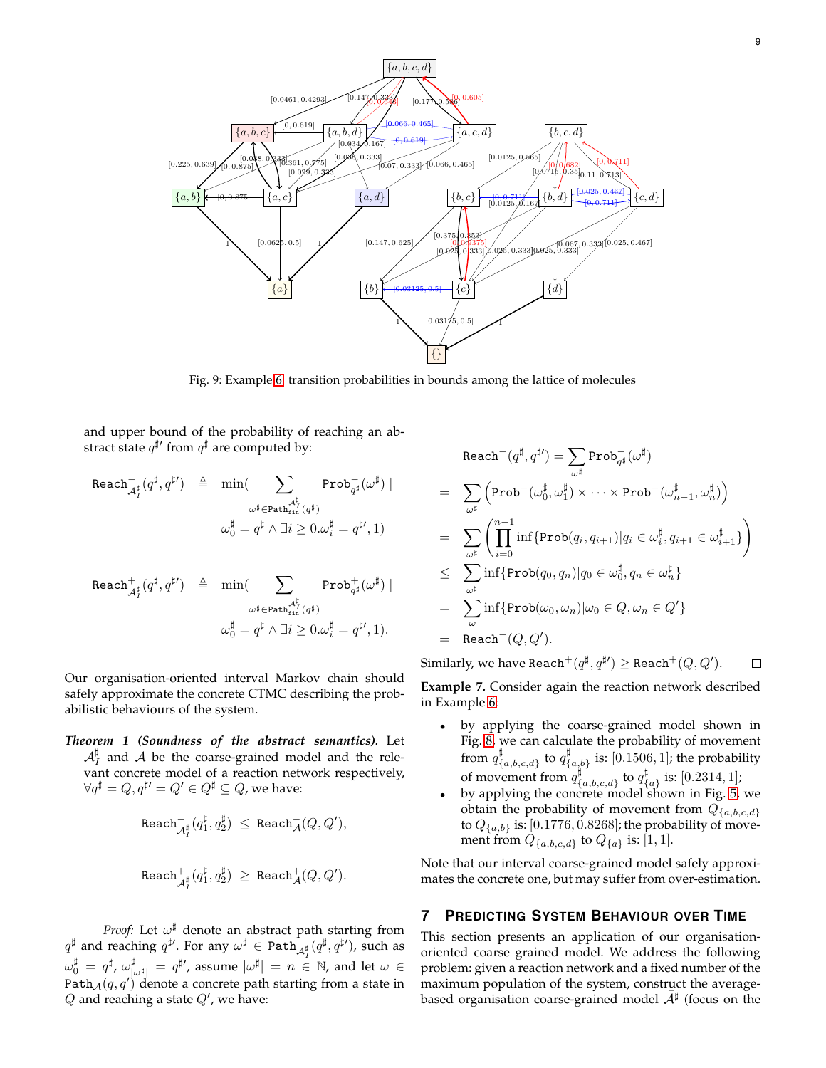<span id="page-8-1"></span>

Fig. 9: Example [6:](#page-5-3) transition probabilities in bounds among the lattice of molecules

and upper bound of the probability of reaching an abstract state  $q^{\sharp}$  from  $q^{\sharp}$  are computed by:

$$
\begin{array}{rcl}\n\text{Reach}_{\mathcal{A}_I^\sharp}^{\mathbb{I}}(q^\sharp, q^{\sharp\prime}) & \triangleq & \min\big(\sum\limits_{\omega^\sharp \in \text{Path}_{\text{fin}}^{\mathcal{A}_I^\sharp}(q^\sharp)} \text{Prob}_{q^\sharp}^{\mathbb{I}}(\omega^\sharp) \mid \\
& & \omega_0^\sharp = q^\sharp \land \exists i \geq 0. \omega_i^\sharp = q^{\sharp\prime}, 1\big) \\
\text{Reach}_{\mathcal{A}_I^\sharp}^{\mathbb{I}}(q^\sharp, q^{\sharp\prime}) & \triangleq & \min\big(\sum\limits_{\omega^\sharp \in \text{Path}_{\text{fin}}^{\mathcal{A}_I^\sharp}(q^\sharp)} \text{Prob}_{q^\sharp}^{\mathbb{I}}(\omega^\sharp) \mid \\
& & \omega_0^\sharp = q^\sharp \land \exists i \geq 0. \omega_i^\sharp = q^{\sharp\prime}, 1\big).\n\end{array}
$$

Our organisation-oriented interval Markov chain should safely approximate the concrete CTMC describing the probabilistic behaviours of the system.

*Theorem 1 (Soundness of the abstract semantics).* Let  $A_I^{\sharp}$  and  $A$  be the coarse-grained model and the relevant concrete model of a reaction network respectively,  $\forall q^\sharp=Q, q^{\sharp\prime}=Q'\in Q^\sharp\subseteq Q$ , we have:

$$
\texttt{Reach}^-_{\mathcal{A}^\sharp_I}(q_1^\sharp, q_2^\sharp) \ \leq \ \texttt{Reach}^-_\mathcal{A}(Q, Q'),
$$

$$
\texttt{Reach}^+_{\mathcal{A}_I^\sharp}(q_1^\sharp, q_2^\sharp) ~\geq~ \texttt{Reach}^+_{\mathcal{A}}(Q, Q').
$$

*Proof:* Let  $\omega^{\sharp}$  denote an abstract path starting from  $q^{\sharp}$  and reaching  $q^{\sharp \prime}$ . For any  $\omega^{\sharp} \in \texttt{Path}_{\mathcal{A}^{\sharp}_{I}}(q^{\sharp}, q^{\sharp \prime})$ , such as  $\omega_0^{\sharp} = q^{\sharp}$ ,  $\omega_{|\omega^{\sharp}|}^{\sharp} = q^{\sharp}$ , assume  $|\omega^{\sharp}| = n \in \mathbb{N}$ , and let  $\omega \in$ Path $_{\mathcal{A}}(q,q')$  denote a concrete path starting from a state in  $Q$  and reaching a state  $Q'$ , we have:

$$
\begin{array}{lll} \text{Reach}^-(q^\sharp,q^{\sharp\prime})=\sum\limits_{\omega^\sharp}\text{Prob}_{q^\sharp}^-(\omega^\sharp)\\&=&\sum\limits_{\omega^\sharp}\left(\text{Prob}^-(\omega_0^\sharp,\omega_1^\sharp)\times\cdots\times\text{Prob}^-(\omega_{n-1}^\sharp,\omega_n^\sharp)\right)\\&=&\sum\limits_{\omega^\sharp}\left(\prod\limits_{i=0}^{n-1}\inf\{\text{Prob}(q_i,q_{i+1})|q_i\in\omega_i^\sharp,q_{i+1}\in\omega_{i+1}^\sharp\}\right)\\&\leq&\sum\limits_{\omega^\sharp}\inf\{\text{Prob}(q_0,q_n)|q_0\in\omega_0^\sharp,q_n\in\omega_n^\sharp\}\\&=&\sum\limits_{\omega}\inf\{\text{Prob}(\omega_0,\omega_n)|\omega_0\in Q,\omega_n\in Q'\}\\&=&\text{Reach}^-(Q,Q').\end{array}
$$

Similarly, we have Reach $^+(q^\sharp,q^{\sharp\prime})\geq$  Reach $^+(Q,Q').$  $\Box$ 

**Example 7.** Consider again the reaction network described in Example [6:](#page-5-3)

- by applying the coarse-grained model shown in Fig. [8,](#page-7-1) we can calculate the probability of movement from  $q_{\ell}^{\sharp}$  $^{\sharp}_{\{a,b,c,d\}}$  to  $q^{\sharp}_{\{}$  $\{a,b\}$  is: [0.1506, 1]; the probability of movement from  $q_f^{\sharp}$  $\sharp_{\{a,b,c,d\}} \text{ to } q^\sharp_{\{a,b,c,d\}}$  $\begin{array}{c} \frac{\mathfrak{g}}{\{a\}} \text{ is: } [0.2314,1]; \end{array}$
- by applying the concrete model shown in Fig. [5,](#page-6-1) we obtain the probability of movement from  $Q_{\{a,b,c,d\}}$ to  $Q_{\{a,b\}}$  is: [0.1776, 0.8268]; the probability of movement from  $Q_{\{a,b,c,d\}}$  to  $Q_{\{a\}}$  is: [1, 1].

Note that our interval coarse-grained model safely approximates the concrete one, but may suffer from over-estimation.

## <span id="page-8-0"></span>**7 PREDICTING SYSTEM BEHAVIOUR OVER TIME**

This section presents an application of our organisationoriented coarse grained model. We address the following problem: given a reaction network and a fixed number of the maximum population of the system, construct the averagebased organisation coarse-grained model  $\bar{A}^{\sharp}$  (focus on the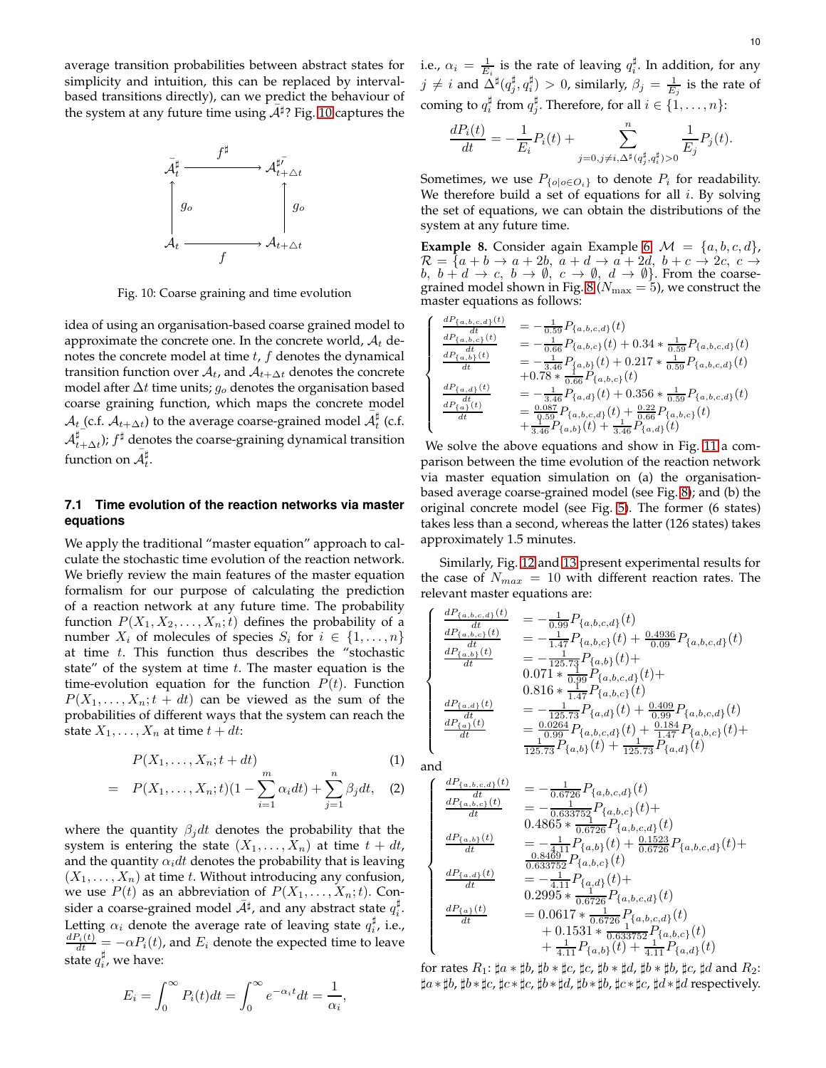<span id="page-9-0"></span>average transition probabilities between abstract states for simplicity and intuition, this can be replaced by intervalbased transitions directly), can we predict the behaviour of the system at any future time using  $\mathcal{A}^{\sharp}$ ? Fig. [10](#page-9-0) captures the



Fig. 10: Coarse graining and time evolution

idea of using an organisation-based coarse grained model to approximate the concrete one. In the concrete world,  $A_t$  denotes the concrete model at time  $t$ ,  $f$  denotes the dynamical transition function over  $A_t$ , and  $A_{t+\Delta t}$  denotes the concrete model after  $\Delta t$  time units;  $g_0$  denotes the organisation based coarse graining function, which maps the concrete model  $\mathcal{A}_t$ \_(c.f.  $\mathcal{A}_{t+\Delta t}$ ) to the average coarse-grained model  $\bar{\mathcal{A}}_t^{\sharp}$  (c.f.  $\mathcal{A}_{t+\Delta t}^{\sharp}$ ;  $f^{\sharp}$  denotes the coarse-graining dynamical transition function on  $\bar{A}_t^{\sharp}$ .

## **7.1 Time evolution of the reaction networks via master equations**

We apply the traditional "master equation" approach to calculate the stochastic time evolution of the reaction network. We briefly review the main features of the master equation formalism for our purpose of calculating the prediction of a reaction network at any future time. The probability function  $P(X_1, X_2, \ldots, X_n; t)$  defines the probability of a number  $X_i$  of molecules of species  $S_i$  for  $i \in \{1, \ldots, n\}$ at time t. This function thus describes the "stochastic state" of the system at time  $t$ . The master equation is the time-evolution equation for the function  $P(t)$ . Function  $P(X_1, \ldots, X_n; t + dt)$  can be viewed as the sum of the probabilities of different ways that the system can reach the state  $X_1, \ldots, X_n$  at time  $t + dt$ :

$$
P(X_1, \ldots, X_n; t + dt) \tag{1}
$$

$$
= P(X_1, ..., X_n; t)(1 - \sum_{i=1}^m \alpha_i dt) + \sum_{j=1}^n \beta_j dt, \quad (2)
$$

where the quantity  $\beta_j dt$  denotes the probability that the system is entering the state  $(X_1, \ldots, X_n)$  at time  $t + dt$ , and the quantity  $\alpha_i dt$  denotes the probability that is leaving  $(X_1, \ldots, X_n)$  at time t. Without introducing any confusion, we use  $P(t)$  as an abbreviation of  $P(X_1, \ldots, X_n; t)$ . Consider a coarse-grained model  $\bar{\mathcal{A}}^{\sharp}$ , and any abstract state  $q_i^{\sharp}$ . Letting  $\alpha_i$  denote the average rate of leaving state  $q_i^{\sharp}$ , i.e.,  $\frac{dP_i(t)}{dt} = -\alpha P_i(t)$ , and  $E_i$  denote the expected time to leave state  $q_i^{\sharp}$ , we have:

$$
E_i = \int_0^\infty P_i(t)dt = \int_0^\infty e^{-\alpha_i t}dt = \frac{1}{\alpha_i},
$$

i.e.,  $\alpha_i = \frac{1}{E_i}$  is the rate of leaving  $q_i^{\sharp}$ . In addition, for any  $j\neq i$  and  $\Delta^\sharp(q_j^\sharp, q_i^\sharp)>0$ , similarly,  $\beta_j=\frac{1}{E_j}$  is the rate of coming to  $q_i^{\sharp}$  from  $q_j^{\sharp}$ . Therefore, for all  $i \in \{1, \ldots, n\}$ :

$$
\frac{dP_i(t)}{dt} = -\frac{1}{E_i}P_i(t) + \sum_{j=0, j\neq i, \Delta^{\sharp}(q_j^{\sharp}, q_i^{\sharp})>0}^{n} \frac{1}{E_j}P_j(t).
$$

Sometimes, we use  $P_{\{o|o \in O_i\}}$  to denote  $P_i$  for readability. We therefore build a set of equations for all  $i$ . By solving the set of equations, we can obtain the distributions of the system at any future time.

**Example 8.** Consider again Example [6.](#page-5-3)  $\mathcal{M} = \{a, b, c, d\}$ ,  $\mathcal{R} = \{a+b \rightarrow a+2b, a+d \rightarrow a+2d, b+c \rightarrow 2c, c \rightarrow$  $b, b + d \rightarrow c, b \rightarrow \emptyset, c \rightarrow \emptyset, d \rightarrow \emptyset\}$ . From the coarse-grained model shown in Fig. [8](#page-7-1) ( $N_{\text{max}} = 5$ ), we construct the master equations as follows:

$$
\frac{dP_{\{a,b,c,d\}}(t)}{dt} = -\frac{1}{0.59}P_{\{a,b,c,d\}}(t)
$$
\n
$$
= -\frac{1}{0.66}P_{\{a,b,c\}}(t) + 0.34 * \frac{1}{0.59}P_{\{a,b,c,d\}}(t)
$$
\n
$$
\frac{dP_{\{a,b\}}(t)}{dt} = -\frac{1}{3.46}P_{\{a,b\}}(t) + 0.217 * \frac{1}{0.59}P_{\{a,b,c,d\}}(t)
$$
\n
$$
+0.78 * \frac{1}{0.66}P_{\{a,b\}}(t)
$$
\n
$$
\frac{dP_{\{a,d\}}(t)}{dt} = -\frac{1}{3.46}P_{\{a,d\}}(t) + 0.356 * \frac{1}{0.59}P_{\{a,b,c,d\}}(t)
$$
\n
$$
= -\frac{1}{3.46}P_{\{a,d\}}(t) + 0.356 * \frac{1}{0.59}P_{\{a,b,c,d\}}(t)
$$
\n
$$
\frac{dP_{\{a\}}(t)}{dt} = \frac{0.087}{0.59}P_{\{a,b,c,d\}}(t) + \frac{0.22}{3.46}P_{\{a,b,c\}}(t)
$$
\n
$$
+ \frac{1}{3.46}P_{\{a,b\}}(t) + \frac{1}{3.46}P_{\{a,d\}}(t)
$$

We solve the above equations and show in Fig. [11](#page-10-1) a comparison between the time evolution of the reaction network via master equation simulation on (a) the organisationbased average coarse-grained model (see Fig. [8\)](#page-7-1); and (b) the original concrete model (see Fig. [5\)](#page-6-1). The former (6 states) takes less than a second, whereas the latter (126 states) takes approximately 1.5 minutes.

Similarly, Fig. [12](#page-10-2) and [13](#page-10-3) present experimental results for the case of  $N_{max} = 10$  with different reaction rates. The relevant master equations are:

$$
\begin{cases}\n\frac{dP_{\{a,b,c,d\}}(t)}{dt} = -\frac{1}{0.99}P_{\{a,b,c,d\}}(t) \\
\frac{dP_{\{a,b,c\}}(t)}{dt} = -\frac{1}{1.47}P_{\{a,b,c\}}(t) + \frac{0.4936}{0.09}P_{\{a,b,c,d\}}(t) \\
\frac{dP_{\{a,b\}}(t)}{dt} = -\frac{1}{125.73}P_{\{a,b\}}(t) + \\
0.071 * \frac{0.99}{0.99}P_{\{a,b,c,d\}}(t) + \\
0.816 * \frac{1.47}{1.47}P_{\{a,b,c\}}(t) \\
\frac{dP_{\{a,d\}}(t)}{dt} = -\frac{1}{125.73}P_{\{a,d\}}(t) + \frac{0.409}{0.99}P_{\{a,b,c,d\}}(t) \\
\frac{dP_{\{a\}}(t)}{dt} = \frac{0.0264}{1.25.73}P_{\{a,b,c,d\}}(t) + \frac{0.184}{1.47}P_{\{a,b,c\}}(t) + \\
\frac{1}{125.73}P_{\{a,b\}}(t) + \frac{1}{125.73}P_{\{a,d\}}(t)\n\end{cases}
$$

and  $\sqrt{ }$ 

 $\begin{array}{c} \hline \end{array}$ 

 $\begin{array}{c} \begin{array}{c} \begin{array}{c} \begin{array}{c} \end{array} \\ \end{array} \end{array} \end{array}$ 

 $\sqrt{ }$ 

 $\begin{array}{c} \hline \end{array}$ 

 $\begin{array}{c} \n\end{array}$ 

$$
\frac{dP_{\{a,b,c,d\}}(t)}{dt} = -\frac{1}{0.6726} P_{\{a,b,c,d\}}(t)
$$
\n
$$
= -\frac{1}{0.633752} P_{\{a,b,c\}}(t) +
$$
\n
$$
0.4865 * \frac{1}{0.6726} P_{\{a,b,c,d\}}(t)
$$
\n
$$
\frac{dP_{\{a,b\}}(t)}{dt} = -\frac{1}{111} P_{\{a,b\}}(t) + \frac{0.1523}{0.6726} P_{\{a,b,c,d\}}(t) +
$$
\n
$$
\frac{dP_{\{a,b\}}(t)}{dt} = -\frac{1}{4.11} P_{\{a,b\}}(t) + \frac{0.1523}{0.6726} P_{\{a,b,c,d\}}(t) +
$$
\n
$$
\frac{dP_{\{a,d\}}(t)}{dt} = -\frac{1}{4.11} P_{\{a,d\}}(t) +
$$
\n
$$
0.2995 * \frac{1}{0.6726} P_{\{a,b,c,d\}}(t) + 0.1531 * \frac{1}{0.633752} P_{\{a,b,c\}}(t) + 0.1531 * \frac{1}{0.633752} P_{\{a,b,c\}}(t) + \frac{1}{4.11} P_{\{a,b\}}(t) + \frac{1}{4.11} P_{\{a,b\}}(t)
$$

for rates  $R_1$ :  $\sharp a * \sharp b$ ,  $\sharp b * \sharp c$ ,  $\sharp c * \sharp d$ ,  $\sharp b * \sharp b$ ,  $\sharp c * \sharp d$  and  $R_2$ :  $\sharp a * \sharp b$ ,  $\sharp b * \sharp c$ ,  $\sharp c * \sharp c$ ,  $\sharp b * \sharp d$ ,  $\sharp b * \sharp b$ ,  $\sharp c * \sharp c$ ,  $\sharp d * \sharp d$  respectively.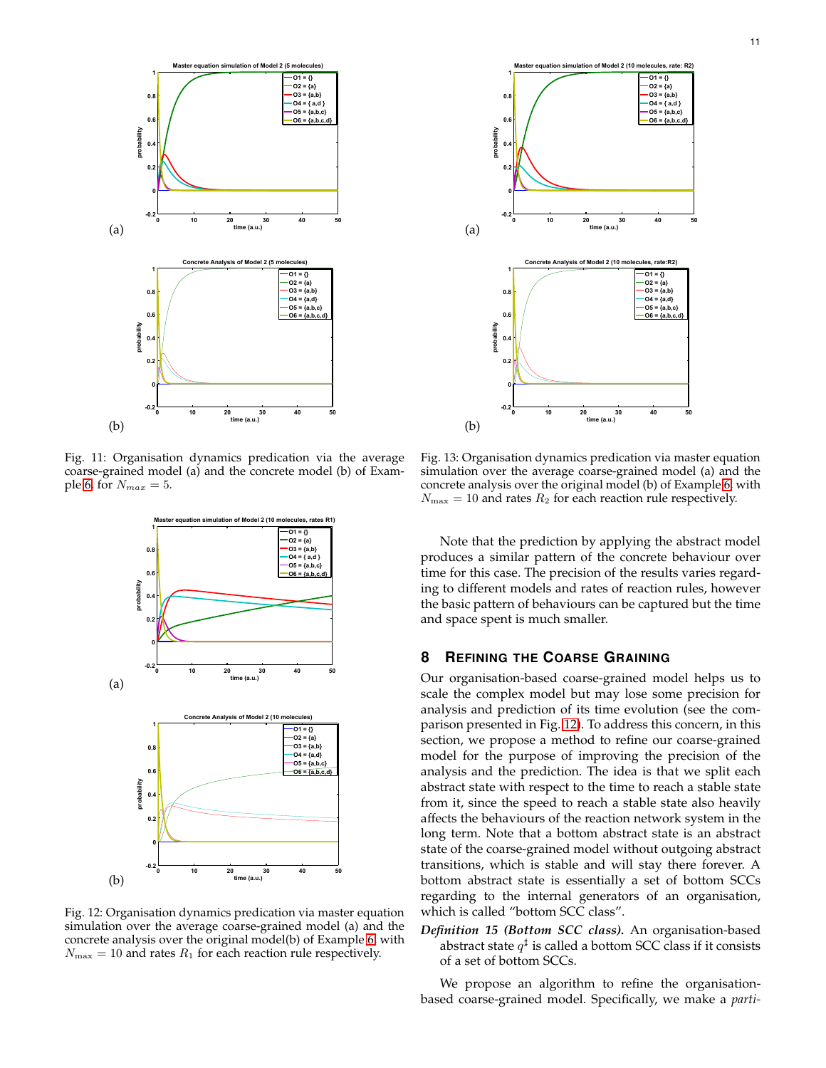<span id="page-10-1"></span>

Fig. 11: Organisation dynamics predication via the average coarse-grained model (a) and the concrete model (b) of Exam-ple [6,](#page-5-3) for  $N_{max} = 5$ .

<span id="page-10-2"></span>

Fig. 12: Organisation dynamics predication via master equation simulation over the average coarse-grained model (a) and the concrete analysis over the original model(b) of Example [6,](#page-5-3) with  $N_{\text{max}} = 10$  and rates  $R_1$  for each reaction rule respectively.

<span id="page-10-3"></span>

Fig. 13: Organisation dynamics predication via master equation simulation over the average coarse-grained model (a) and the concrete analysis over the original model (b) of Example [6,](#page-5-3) with  $N_{\text{max}} = 10$  and rates  $R_2$  for each reaction rule respectively.

Note that the prediction by applying the abstract model produces a similar pattern of the concrete behaviour over time for this case. The precision of the results varies regarding to different models and rates of reaction rules, however the basic pattern of behaviours can be captured but the time and space spent is much smaller.

## <span id="page-10-0"></span>**8 REFINING THE COARSE GRAINING**

Our organisation-based coarse-grained model helps us to scale the complex model but may lose some precision for analysis and prediction of its time evolution (see the comparison presented in Fig. [12\)](#page-10-2). To address this concern, in this section, we propose a method to refine our coarse-grained model for the purpose of improving the precision of the analysis and the prediction. The idea is that we split each abstract state with respect to the time to reach a stable state from it, since the speed to reach a stable state also heavily affects the behaviours of the reaction network system in the long term. Note that a bottom abstract state is an abstract state of the coarse-grained model without outgoing abstract transitions, which is stable and will stay there forever. A bottom abstract state is essentially a set of bottom SCCs regarding to the internal generators of an organisation, which is called "bottom SCC class".

*Definition 15 (Bottom SCC class).* An organisation-based abstract state  $q^\sharp$  is called a bottom SCC class if it consists of a set of bottom SCCs.

We propose an algorithm to refine the organisationbased coarse-grained model. Specifically, we make a *parti-*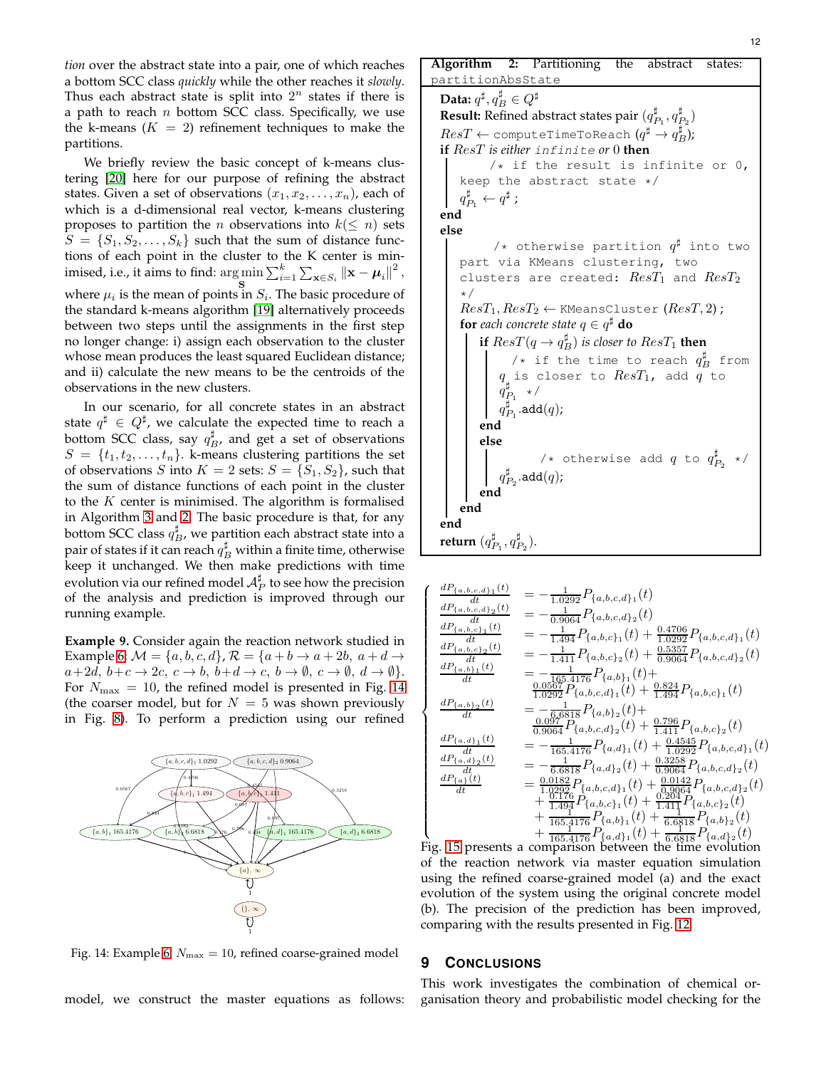*tion* over the abstract state into a pair, one of which reaches a bottom SCC class *quickly* while the other reaches it *slowly*. Thus each abstract state is split into  $2^n$  states if there is a path to reach  $n$  bottom SCC class. Specifically, we use the k-means  $(K = 2)$  refinement techniques to make the partitions.

We briefly review the basic concept of k-means clustering [\[20\]](#page-13-22) here for our purpose of refining the abstract states. Given a set of observations  $(x_1, x_2, \ldots, x_n)$ , each of which is a d-dimensional real vector, k-means clustering proposes to partition the *n* observations into  $k(\leq n)$  sets  $S = \{S_1, S_2, \ldots, S_k\}$  such that the sum of distance functions of each point in the cluster to the K center is minimised, i.e., it aims to find:  $\argmin_{\mathbf{S}} \sum_{i=1}^{k} \sum_{\mathbf{x} \in S_i} ||\mathbf{x} - \boldsymbol{\mu}_i||^2$ , where  $\mu_i$  is the mean of points in  $S_i$ . The basic procedure of the standard k-means algorithm [\[19\]](#page-13-23) alternatively proceeds between two steps until the assignments in the first step no longer change: i) assign each observation to the cluster whose mean produces the least squared Euclidean distance; and ii) calculate the new means to be the centroids of the observations in the new clusters.

In our scenario, for all concrete states in an abstract state  $q^\sharp~\in~Q^\sharp$ , we calculate the expected time to reach a bottom SCC class, say  $q_B^{\sharp}$ , and get a set of observations  $S = \{t_1, t_2, \ldots, t_n\}$ . k-means clustering partitions the set of observations S into  $K = 2$  sets:  $S = \{S_1, S_2\}$ , such that the sum of distance functions of each point in the cluster to the  $K$  center is minimised. The algorithm is formalised in Algorithm [3](#page-12-0) and [2.](#page-11-1) The basic procedure is that, for any bottom SCC class  $q_B^{\sharp}$ , we partition each abstract state into a pair of states if it can reach  $q_B^{\sharp}$  within a finite time, otherwise keep it unchanged. We then make predictions with time evolution via our refined model  $\mathcal{A}_P^\sharp$  to see how the precision of the analysis and prediction is improved through our running example.

**Example 9.** Consider again the reaction network studied in Example [6:](#page-5-3)  $\mathcal{M} = \{a, b, c, d\}$ ,  $\mathcal{R} = \{a+b\rightarrow a+2b, a+d\rightarrow a\}$  $a+2d, b+c \rightarrow 2c, c \rightarrow b, b+d \rightarrow c, b \rightarrow \emptyset, c \rightarrow \emptyset, d \rightarrow \emptyset$ . For  $N_{\text{max}} = 10$ , the refined model is presented in Fig. [14](#page-11-2) (the coarser model, but for  $N = 5$  was shown previously in Fig. [8\)](#page-7-1). To perform a prediction using our refined

<span id="page-11-2"></span>

Fig. 14: Example [6:](#page-5-3)  $N_{\text{max}} = 10$ , refined coarse-grained model

model, we construct the master equations as follows:

**Algorithm 2:** Partitioning the abstract states: partitionAbsState **Data:**  $q^{\sharp}, q^{\sharp}_B \in Q^{\sharp}$ **Result:** Refined abstract states pair  $(q_{P_1}^{\sharp}, q_{P_2}^{\sharp})$  $Res T \leftarrow \textsf{computeTimeToReach}\ (q^\sharp \rightarrow q_B^\sharp);$ **if** ResT *is either* infinite *or* 0 **then**  $/*$  if the result is infinite or  $0,$ keep the abstract state \*/  $q_{P_1}^\sharp \leftarrow q^\sharp$  ; **end else** /\* otherwise partition  $q^{\sharp}$  into two part via KMeans clustering, two clusters are created:  $ResT_1$  and  $ResT_2$ \*/  $ResT_1, ResT_2 \leftarrow$  KMeansCluster  $(ResT, 2)$ ; **for** each concrete state  $q \in q^{\sharp}$  **do if**  $ResT(q \rightarrow q_{B}^{\sharp})$  is closer to  $ResT_{1}$  **then** /\* if the time to reach  $q_B^{\sharp}$  from  $q_i$  is closer to  $ResT_1$ , add  $q$  to  $q_{P_1}^{\sharp}$  \*/  $q_{P_1}^\sharp$ .add $(q)$ ; **end else** /\* otherwise add  $q$  to  $q_{P_2}^\sharp$  \*/  $q_{P_2}^\sharp$ .add $(q)$ ; **end end end** return  $(q_{P_1}^\sharp,q_{P_2}^\sharp).$ 

<span id="page-11-1"></span>
$$
\begin{cases}\n\frac{dP_{\{a,b,c,d\}_1}(t)}{dt} = -\frac{1}{1.0292} P_{\{a,b,c,d\}_1}(t) \\
\frac{dP_{\{a,b,c\}_1}(t)}{dt} = -\frac{1}{0.9064} P_{\{a,b,c,d\}_2}(t) \\
\frac{dP_{\{a,b,c\}_2}(t)}{dt} = -\frac{1}{1.494} P_{\{a,b,c\}_1}(t) + \frac{0.4706}{1.0292} P_{\{a,b,c,d\}_1}(t) \\
\frac{dP_{\{a,b\}_1}(t)}{dt} = -\frac{1}{1.411} P_{\{a,b,c\}_2}(t) + \frac{0.5357}{0.9064} P_{\{a,b,c,d\}_2}(t) \\
\frac{dP_{\{a,b\}_1}(t)}{dt} = -\frac{1}{1.411} P_{\{a,b,c\}_2}(t) + \frac{0.5357}{0.9064} P_{\{a,b,c,d\}_2}(t) \\
\frac{dP_{\{a,b\}_2}(t)}{dt} = -\frac{1}{1.654176} P_{\{a,b\}_1}(t) + \\
\frac{dP_{\{a,b\}_2}(t)}{dt} = -\frac{1}{6.6818} P_{\{a,b\}_2}(t) + \\
\frac{dP_{\{a,d\}_1}(t)}{dt} = -\frac{1}{165.4176} P_{\{a,b,c,d\}_2}(t) + \frac{0.796}{1.411} P_{\{a,b,c\}_2}(t) \\
\frac{dP_{\{a,d\}_2}(t)}{dt} = -\frac{1}{165.4176} P_{\{a,d\}_1}(t) + \frac{0.4545}{1.0292} P_{\{a,b,c,d\}_1}(t) \\
\frac{dP_{\{a,d\}_2}(t)}{dt} = -\frac{1}{6.6818} P_{\{a,d\}_2}(t) + \frac{0.3258}{0.9064} P_{\{a,b,c,d\}_2}(t) \\
\frac{dP_{\{a\}_2}(t)}{dt} = \frac{0.0182}{1.0292} P_{\{a,b,c,d\}_1}(t) + \frac{0.2042}{0.9064} P_{\{a,b,c,d\}_2}(t) \\
+ \frac{
$$

of the reaction network via master equation simulation using the refined coarse-grained model (a) and the exact evolution of the system using the original concrete model (b). The precision of the prediction has been improved, comparing with the results presented in Fig. [12.](#page-10-2)

## <span id="page-11-0"></span>**9 CONCLUSIONS**

 $\sqrt{ }$ 

 $\begin{bmatrix} \phantom{-} \end{bmatrix}$ 

This work investigates the combination of chemical organisation theory and probabilistic model checking for the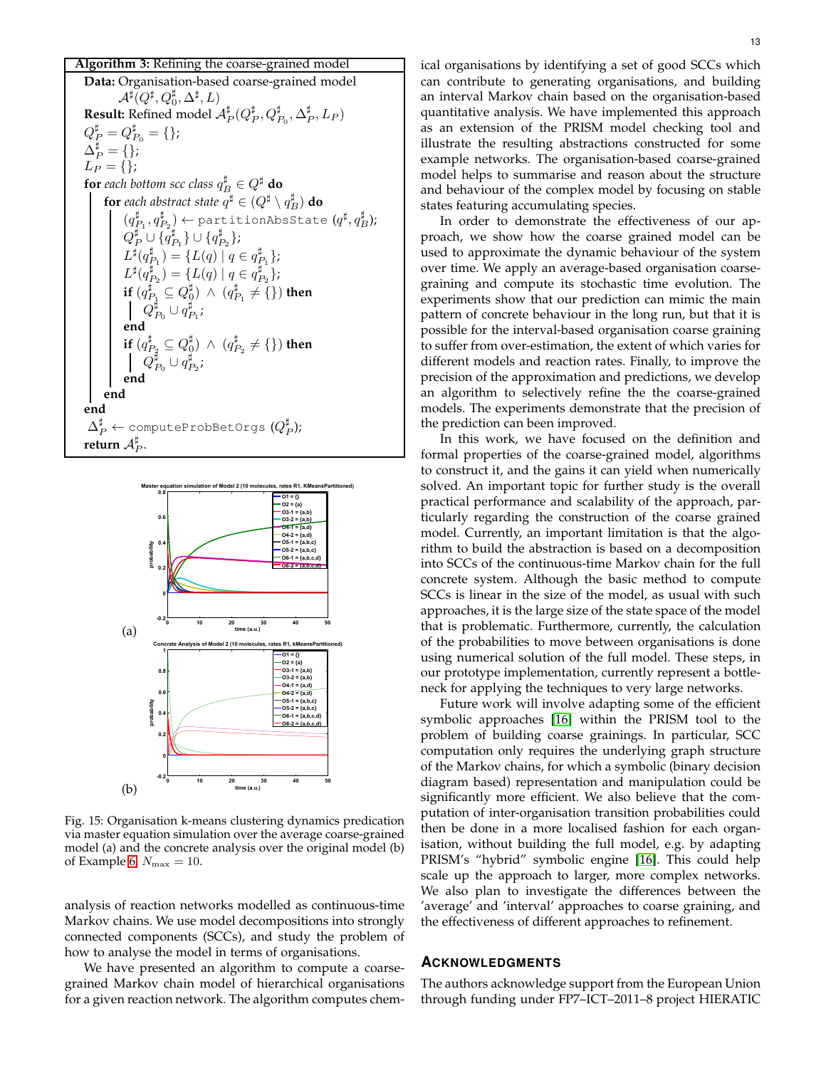**Algorithm 3:** Refining the coarse-grained model **Data:** Organisation-based coarse-grained model  $\mathcal{A}^\sharp(Q^\sharp,Q_0^\sharp,\Delta^\sharp,L)$ **Result:** Refined model  $\mathcal{A}^\sharp_P ( Q^\sharp_P , Q^\sharp_{P_0}, \Delta^\sharp_P , L_P )$  $Q_P^\sharp=Q_{P_0}^\sharp=\{\};$  $\Delta_P^\sharp=\{\};$  $L_P = \{\};$  ${\bf f}$ **or** each bottom scc class  $q_B^{\sharp} \in Q^{\sharp}$  **do**  $\mathbf{for}$  *each abstract state*  $q^{\sharp} \in (Q^{\sharp} \setminus q_B^{\sharp})$  **do**  $(q_{P_1}^{\sharp},q_{P_2}^{\sharp}) \leftarrow$  partitionAbsState  $(q^{\sharp},q_B^{\sharp})$ ;  $Q_P^\sharp\cup \{\tilde q_{P_1}^\sharp\}\cup\{q_{P_2}^\sharp\};$  $L^\sharp(q_{P_1}^\sharp) = \{L(q) \mid q \in q_{P_1}^\sharp\};$  $L^\sharp(q_{P_2}^\sharp) = \{L(q) \mid q \in q_{P_2}^\sharp\};$  $\textbf{if}~(q_{P_1}^{\sharp}\subseteq Q_0^{\sharp}) ~\wedge~ (q_{P_1}^{\sharp}\neq \{\})$  then  $Q_{P_0}^{\sharp}\cup q_{P_1}^{\sharp};$ **end**  $\textbf{if}~(q_{P_2}^\sharp\subseteq Q_0^\sharp) ~\wedge~ (q_{P_2}^\sharp\neq \{\})$  then  $Q^{\sharp}_{P_0} \cup q^{\sharp}_{P_2}$  ; **end end end**  $\Delta^\sharp_P \leftarrow$  computeProbBetOrgs  $(Q_P^\sharp);$ return  $\mathcal{A}_P^\sharp.$ 

<span id="page-12-1"></span><span id="page-12-0"></span>

Fig. 15: Organisation k-means clustering dynamics predication via master equation simulation over the average coarse-grained model (a) and the concrete analysis over the original model (b) of Example [6,](#page-5-3)  $N_{\text{max}} = 10$ .

analysis of reaction networks modelled as continuous-time Markov chains. We use model decompositions into strongly connected components (SCCs), and study the problem of how to analyse the model in terms of organisations.

We have presented an algorithm to compute a coarsegrained Markov chain model of hierarchical organisations for a given reaction network. The algorithm computes chemical organisations by identifying a set of good SCCs which can contribute to generating organisations, and building an interval Markov chain based on the organisation-based quantitative analysis. We have implemented this approach as an extension of the PRISM model checking tool and illustrate the resulting abstractions constructed for some example networks. The organisation-based coarse-grained model helps to summarise and reason about the structure and behaviour of the complex model by focusing on stable states featuring accumulating species.

In order to demonstrate the effectiveness of our approach, we show how the coarse grained model can be used to approximate the dynamic behaviour of the system over time. We apply an average-based organisation coarsegraining and compute its stochastic time evolution. The experiments show that our prediction can mimic the main pattern of concrete behaviour in the long run, but that it is possible for the interval-based organisation coarse graining to suffer from over-estimation, the extent of which varies for different models and reaction rates. Finally, to improve the precision of the approximation and predictions, we develop an algorithm to selectively refine the the coarse-grained models. The experiments demonstrate that the precision of the prediction can been improved.

In this work, we have focused on the definition and formal properties of the coarse-grained model, algorithms to construct it, and the gains it can yield when numerically solved. An important topic for further study is the overall practical performance and scalability of the approach, particularly regarding the construction of the coarse grained model. Currently, an important limitation is that the algorithm to build the abstraction is based on a decomposition into SCCs of the continuous-time Markov chain for the full concrete system. Although the basic method to compute SCCs is linear in the size of the model, as usual with such approaches, it is the large size of the state space of the model that is problematic. Furthermore, currently, the calculation of the probabilities to move between organisations is done using numerical solution of the full model. These steps, in our prototype implementation, currently represent a bottleneck for applying the techniques to very large networks.

Future work will involve adapting some of the efficient symbolic approaches [\[16\]](#page-13-24) within the PRISM tool to the problem of building coarse grainings. In particular, SCC computation only requires the underlying graph structure of the Markov chains, for which a symbolic (binary decision diagram based) representation and manipulation could be significantly more efficient. We also believe that the computation of inter-organisation transition probabilities could then be done in a more localised fashion for each organisation, without building the full model, e.g. by adapting PRISM's "hybrid" symbolic engine [\[16\]](#page-13-24). This could help scale up the approach to larger, more complex networks. We also plan to investigate the differences between the 'average' and 'interval' approaches to coarse graining, and the effectiveness of different approaches to refinement.

## **ACKNOWLEDGMENTS**

The authors acknowledge support from the European Union through funding under FP7–ICT–2011–8 project HIERATIC